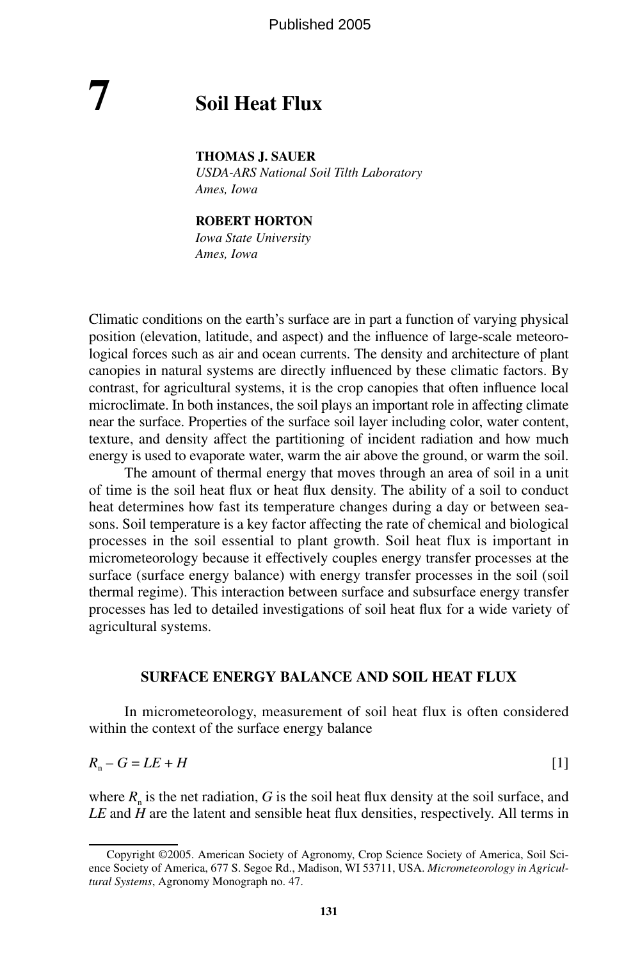# **7 Soil Heat Flux**

# **THOMAS J. SAUER**

*USDA-ARS National Soil Tilth Laboratory Ames, Iowa*

### **ROBERT HORTON**

*Iowa State University Ames, Iowa*

Climatic conditions on the earth's surface are in part a function of varying physical position (elevation, latitude, and aspect) and the influence of large-scale meteorological forces such as air and ocean currents. The density and architecture of plant canopies in natural systems are directly influenced by these climatic factors. By contrast, for agricultural systems, it is the crop canopies that often influence local microclimate. In both instances, the soil plays an important role in affecting climate near the surface. Properties of the surface soil layer including color, water content, texture, and density affect the partitioning of incident radiation and how much energy is used to evaporate water, warm the air above the ground, or warm the soil.

The amount of thermal energy that moves through an area of soil in a unit of time is the soil heat flux or heat flux density. The ability of a soil to conduct heat determines how fast its temperature changes during a day or between seasons. Soil temperature is a key factor affecting the rate of chemical and biological processes in the soil essential to plant growth. Soil heat flux is important in micrometeorology because it effectively couples energy transfer processes at the surface (surface energy balance) with energy transfer processes in the soil (soil thermal regime). This interaction between surface and subsurface energy transfer processes has led to detailed investigations of soil heat flux for a wide variety of agricultural systems.

# **SURFACE ENERGY BALANCE AND SOIL HEAT FLUX**

In micrometeorology, measurement of soil heat flux is often considered within the context of the surface energy balance

$$
R_{n} - G = LE + H \tag{1}
$$

where  $R_n$  is the net radiation,  $G$  is the soil heat flux density at the soil surface, and *LE* and *H* are the latent and sensible heat flux densities, respectively. All terms in

Copyright ©2005. American Society of Agronomy, Crop Science Society of America, Soil Science Society of America, 677 S. Segoe Rd., Madison, WI 53711, USA. *Micrometeorology in Agricultural Systems*, Agronomy Monograph no. 47.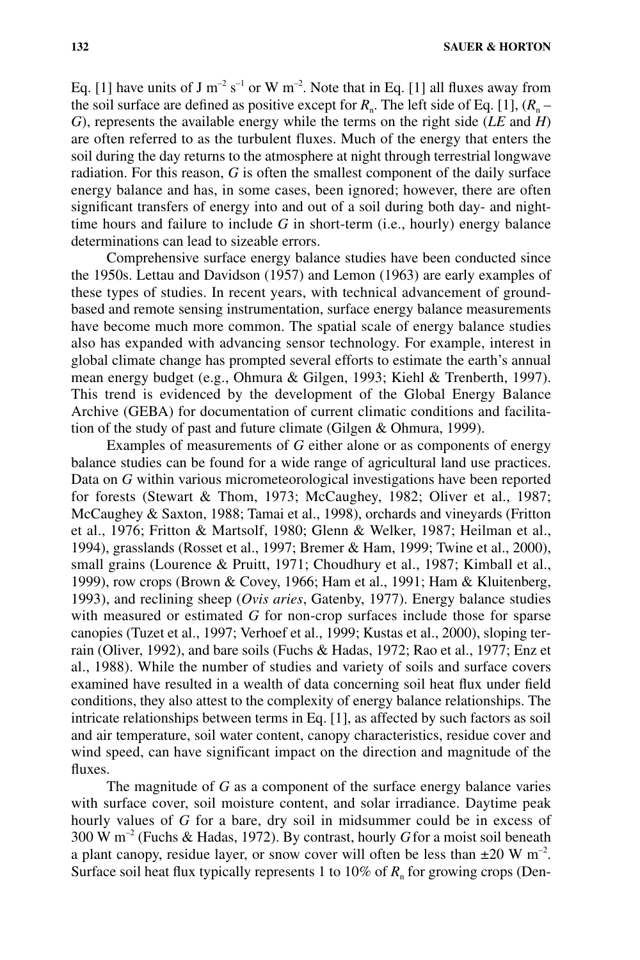Eq. [1] have units of J m<sup>-2</sup> s<sup>-1</sup> or W m<sup>-2</sup>. Note that in Eq. [1] all fluxes away from the soil surface are defined as positive except for  $R_n$ . The left side of Eq. [1],  $(R_n -$ *G*), represents the available energy while the terms on the right side (*LE* and *H*) are often referred to as the turbulent fluxes. Much of the energy that enters the soil during the day returns to the atmosphere at night through terrestrial longwave radiation. For this reason, *G* is often the smallest component of the daily surface energy balance and has, in some cases, been ignored; however, there are often significant transfers of energy into and out of a soil during both day- and nighttime hours and failure to include *G* in short-term (i.e., hourly) energy balance determinations can lead to sizeable errors.

Comprehensive surface energy balance studies have been conducted since the 1950s. Lettau and Davidson (1957) and Lemon (1963) are early examples of these types of studies. In recent years, with technical advancement of groundbased and remote sensing instrumentation, surface energy balance measurements have become much more common. The spatial scale of energy balance studies also has expanded with advancing sensor technology. For example, interest in global climate change has prompted several efforts to estimate the earth's annual mean energy budget (e.g., Ohmura & Gilgen, 1993; Kiehl & Trenberth, 1997). This trend is evidenced by the development of the Global Energy Balance Archive (GEBA) for documentation of current climatic conditions and facilitation of the study of past and future climate (Gilgen & Ohmura, 1999).

Examples of measurements of *G* either alone or as components of energy balance studies can be found for a wide range of agricultural land use practices. Data on *G* within various micrometeorological investigations have been reported for forests (Stewart & Thom, 1973; McCaughey, 1982; Oliver et al., 1987; McCaughey & Saxton, 1988; Tamai et al., 1998), orchards and vineyards (Fritton et al., 1976; Fritton & Martsolf, 1980; Glenn & Welker, 1987; Heilman et al., 1994), grasslands (Rosset et al., 1997; Bremer & Ham, 1999; Twine et al., 2000), small grains (Lourence & Pruitt, 1971; Choudhury et al., 1987; Kimball et al., 1999), row crops (Brown & Covey, 1966; Ham et al., 1991; Ham & Kluitenberg, 1993), and reclining sheep (*Ovis aries*, Gatenby, 1977). Energy balance studies with measured or estimated *G* for non-crop surfaces include those for sparse canopies (Tuzet et al., 1997; Verhoef et al., 1999; Kustas et al., 2000), sloping terrain (Oliver, 1992), and bare soils (Fuchs & Hadas, 1972; Rao et al., 1977; Enz et al., 1988). While the number of studies and variety of soils and surface covers examined have resulted in a wealth of data concerning soil heat flux under field conditions, they also attest to the complexity of energy balance relationships. The intricate relationships between terms in Eq. [1], as affected by such factors as soil and air temperature, soil water content, canopy characteristics, residue cover and wind speed, can have significant impact on the direction and magnitude of the fluxes.

The magnitude of *G* as a component of the surface energy balance varies with surface cover, soil moisture content, and solar irradiance. Daytime peak hourly values of *G* for a bare, dry soil in midsummer could be in excess of 300 W m–2 (Fuchs & Hadas, 1972). By contrast, hourly *G*for a moist soil beneath a plant canopy, residue layer, or snow cover will often be less than  $\pm 20 \text{ W m}^{-2}$ . Surface soil heat flux typically represents 1 to 10% of  $R_n$  for growing crops (Den-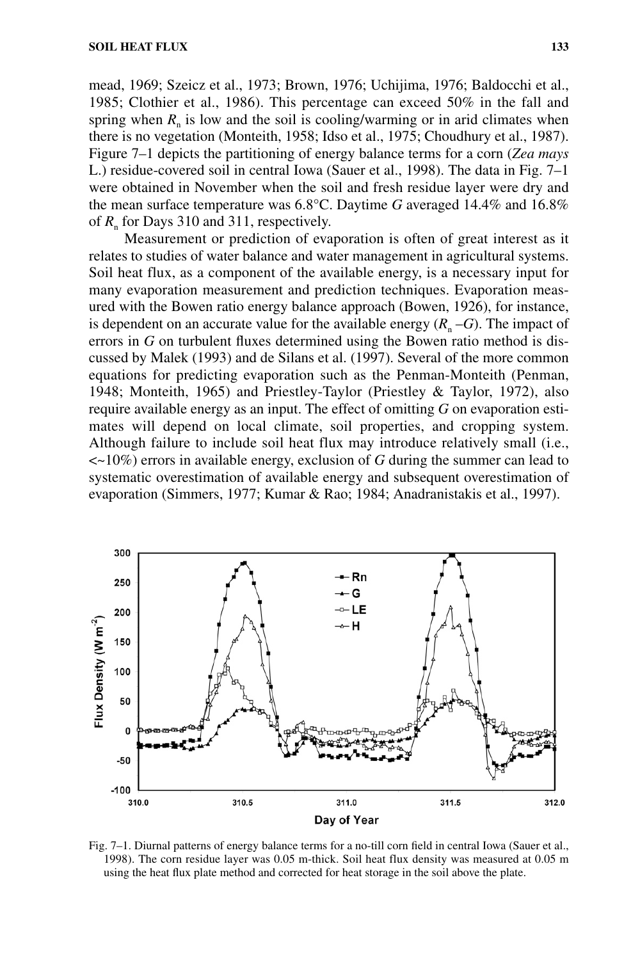mead, 1969; Szeicz et al., 1973; Brown, 1976; Uchijima, 1976; Baldocchi et al., 1985; Clothier et al., 1986). This percentage can exceed 50% in the fall and spring when  $R_n$  is low and the soil is cooling/warming or in arid climates when there is no vegetation (Monteith, 1958; Idso et al., 1975; Choudhury et al., 1987). Figure 7–1 depicts the partitioning of energy balance terms for a corn (*Zea mays* L.) residue-covered soil in central Iowa (Sauer et al., 1998). The data in Fig. 7–1 were obtained in November when the soil and fresh residue layer were dry and the mean surface temperature was 6.8°C. Daytime *G* averaged 14.4% and 16.8% of *R*<sub>n</sub> for Days 310 and 311, respectively.

Measurement or prediction of evaporation is often of great interest as it relates to studies of water balance and water management in agricultural systems. Soil heat flux, as a component of the available energy, is a necessary input for many evaporation measurement and prediction techniques. Evaporation measured with the Bowen ratio energy balance approach (Bowen, 1926), for instance, is dependent on an accurate value for the available energy  $(R_n - G)$ . The impact of errors in *G* on turbulent fluxes determined using the Bowen ratio method is discussed by Malek (1993) and de Silans et al. (1997). Several of the more common equations for predicting evaporation such as the Penman-Monteith (Penman, 1948; Monteith, 1965) and Priestley-Taylor (Priestley & Taylor, 1972), also require available energy as an input. The effect of omitting *G* on evaporation estimates will depend on local climate, soil properties, and cropping system. Although failure to include soil heat flux may introduce relatively small (i.e., <~10%) errors in available energy, exclusion of *G* during the summer can lead to systematic overestimation of available energy and subsequent overestimation of evaporation (Simmers, 1977; Kumar & Rao; 1984; Anadranistakis et al., 1997).



Fig. 7–1. Diurnal patterns of energy balance terms for a no-till corn field in central Iowa (Sauer et al., 1998). The corn residue layer was 0.05 m-thick. Soil heat flux density was measured at 0.05 m using the heat flux plate method and corrected for heat storage in the soil above the plate.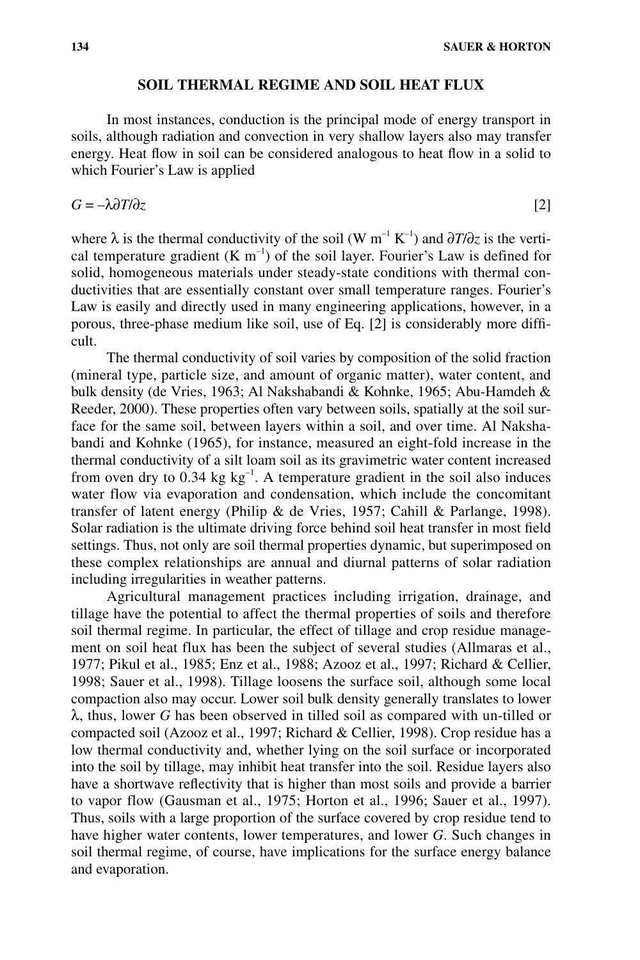## **SOIL THERMAL REGIME AND SOIL HEAT FLUX**

In most instances, conduction is the principal mode of energy transport in soils, although radiation and convection in very shallow layers also may transfer energy. Heat flow in soil can be considered analogous to heat flow in a solid to which Fourier's Law is applied

$$
G = -\lambda \partial T/\partial z \tag{2}
$$

where  $\lambda$  is the thermal conductivity of the soil (W m<sup>-1</sup> K<sup>-1</sup>) and  $\frac{\partial T}{\partial z}$  is the vertical temperature gradient  $(K \, m^{-1})$  of the soil layer. Fourier's Law is defined for solid, homogeneous materials under steady-state conditions with thermal conductivities that are essentially constant over small temperature ranges. Fourier's Law is easily and directly used in many engineering applications, however, in a porous, three-phase medium like soil, use of Eq. [2] is considerably more difficult.

The thermal conductivity of soil varies by composition of the solid fraction (mineral type, particle size, and amount of organic matter), water content, and bulk density (de Vries, 1963; Al Nakshabandi & Kohnke, 1965; Abu-Hamdeh & Reeder, 2000). These properties often vary between soils, spatially at the soil surface for the same soil, between layers within a soil, and over time. Al Nakshabandi and Kohnke (1965), for instance, measured an eight-fold increase in the thermal conductivity of a silt loam soil as its gravimetric water content increased from oven dry to 0.34 kg  $kg^{-1}$ . A temperature gradient in the soil also induces water flow via evaporation and condensation, which include the concomitant transfer of latent energy (Philip & de Vries, 1957; Cahill & Parlange, 1998). Solar radiation is the ultimate driving force behind soil heat transfer in most field settings. Thus, not only are soil thermal properties dynamic, but superimposed on these complex relationships are annual and diurnal patterns of solar radiation including irregularities in weather patterns.

Agricultural management practices including irrigation, drainage, and tillage have the potential to affect the thermal properties of soils and therefore soil thermal regime. In particular, the effect of tillage and crop residue management on soil heat flux has been the subject of several studies (Allmaras et al., 1977; Pikul et al., 1985; Enz et al., 1988; Azooz et al., 1997; Richard & Cellier, 1998; Sauer et al., 1998). Tillage loosens the surface soil, although some local compaction also may occur. Lower soil bulk density generally translates to lower , thus, lower *G* has been observed in tilled soil as compared with un-tilled or compacted soil (Azooz et al., 1997; Richard & Cellier, 1998). Crop residue has a low thermal conductivity and, whether lying on the soil surface or incorporated into the soil by tillage, may inhibit heat transfer into the soil. Residue layers also have a shortwave reflectivity that is higher than most soils and provide a barrier to vapor flow (Gausman et al., 1975; Horton et al., 1996; Sauer et al., 1997). Thus, soils with a large proportion of the surface covered by crop residue tend to have higher water contents, lower temperatures, and lower *G*. Such changes in soil thermal regime, of course, have implications for the surface energy balance and evaporation.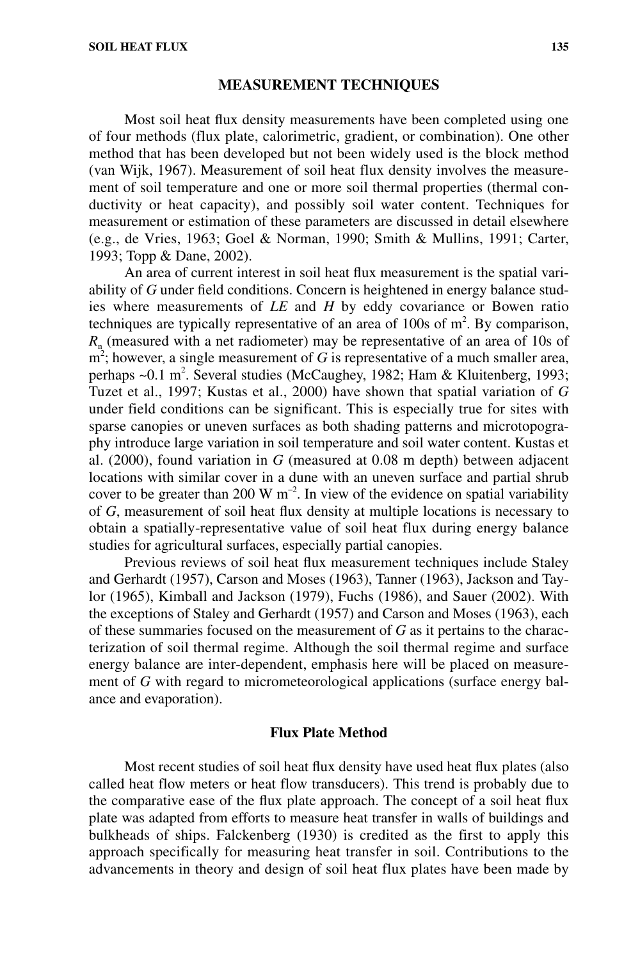#### **MEASUREMENT TECHNIQUES**

Most soil heat flux density measurements have been completed using one of four methods (flux plate, calorimetric, gradient, or combination). One other method that has been developed but not been widely used is the block method (van Wijk, 1967). Measurement of soil heat flux density involves the measurement of soil temperature and one or more soil thermal properties (thermal conductivity or heat capacity), and possibly soil water content. Techniques for measurement or estimation of these parameters are discussed in detail elsewhere (e.g., de Vries, 1963; Goel & Norman, 1990; Smith & Mullins, 1991; Carter, 1993; Topp & Dane, 2002).

An area of current interest in soil heat flux measurement is the spatial variability of *G* under field conditions. Concern is heightened in energy balance studies where measurements of *LE* and *H* by eddy covariance or Bowen ratio techniques are typically representative of an area of  $100s$  of  $m<sup>2</sup>$ . By comparison, *R*<sub>n</sub> (measured with a net radiometer) may be representative of an area of 10s of  $m^2$ ; however, a single measurement of  $G$  is representative of a much smaller area, perhaps ~0.1 m<sup>2</sup>. Several studies (McCaughey, 1982; Ham & Kluitenberg, 1993; Tuzet et al., 1997; Kustas et al., 2000) have shown that spatial variation of *G* under field conditions can be significant. This is especially true for sites with sparse canopies or uneven surfaces as both shading patterns and microtopography introduce large variation in soil temperature and soil water content. Kustas et al. (2000), found variation in *G* (measured at 0.08 m depth) between adjacent locations with similar cover in a dune with an uneven surface and partial shrub cover to be greater than 200 W  $m^{-2}$ . In view of the evidence on spatial variability of *G*, measurement of soil heat flux density at multiple locations is necessary to obtain a spatially-representative value of soil heat flux during energy balance studies for agricultural surfaces, especially partial canopies.

Previous reviews of soil heat flux measurement techniques include Staley and Gerhardt (1957), Carson and Moses (1963), Tanner (1963), Jackson and Taylor (1965), Kimball and Jackson (1979), Fuchs (1986), and Sauer (2002). With the exceptions of Staley and Gerhardt (1957) and Carson and Moses (1963), each of these summaries focused on the measurement of *G* as it pertains to the characterization of soil thermal regime. Although the soil thermal regime and surface energy balance are inter-dependent, emphasis here will be placed on measurement of *G* with regard to micrometeorological applications (surface energy balance and evaporation).

#### **Flux Plate Method**

Most recent studies of soil heat flux density have used heat flux plates (also called heat flow meters or heat flow transducers). This trend is probably due to the comparative ease of the flux plate approach. The concept of a soil heat flux plate was adapted from efforts to measure heat transfer in walls of buildings and bulkheads of ships. Falckenberg (1930) is credited as the first to apply this approach specifically for measuring heat transfer in soil. Contributions to the advancements in theory and design of soil heat flux plates have been made by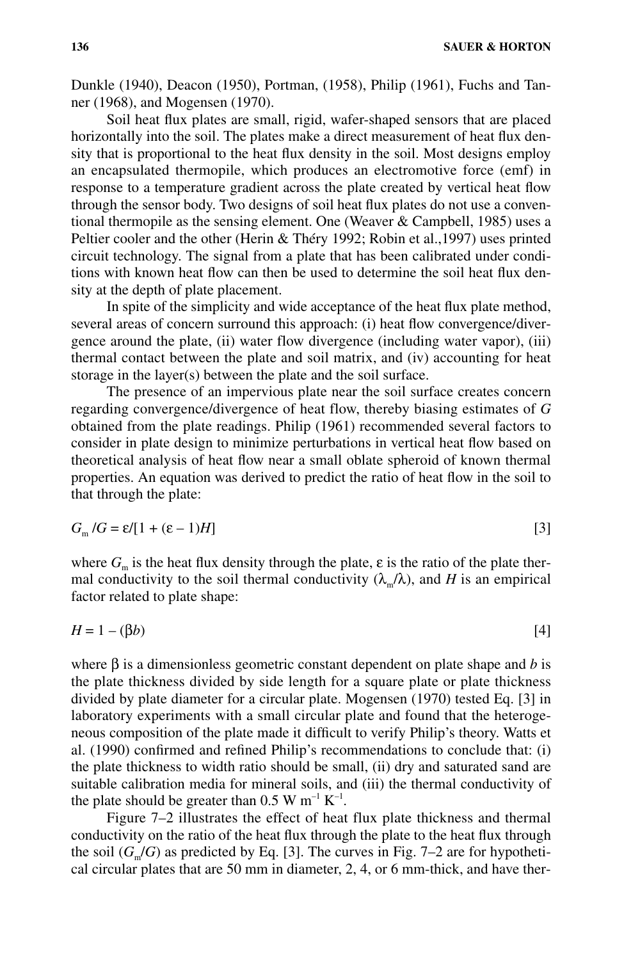Dunkle (1940), Deacon (1950), Portman, (1958), Philip (1961), Fuchs and Tanner (1968), and Mogensen (1970).

Soil heat flux plates are small, rigid, wafer-shaped sensors that are placed horizontally into the soil. The plates make a direct measurement of heat flux density that is proportional to the heat flux density in the soil. Most designs employ an encapsulated thermopile, which produces an electromotive force (emf) in response to a temperature gradient across the plate created by vertical heat flow through the sensor body. Two designs of soil heat flux plates do not use a conventional thermopile as the sensing element. One (Weaver & Campbell, 1985) uses a Peltier cooler and the other (Herin & Théry 1992; Robin et al.,1997) uses printed circuit technology. The signal from a plate that has been calibrated under conditions with known heat flow can then be used to determine the soil heat flux density at the depth of plate placement.

In spite of the simplicity and wide acceptance of the heat flux plate method, several areas of concern surround this approach: (i) heat flow convergence/divergence around the plate, (ii) water flow divergence (including water vapor), (iii) thermal contact between the plate and soil matrix, and (iv) accounting for heat storage in the layer(s) between the plate and the soil surface.

The presence of an impervious plate near the soil surface creates concern regarding convergence/divergence of heat flow, thereby biasing estimates of *G* obtained from the plate readings. Philip (1961) recommended several factors to consider in plate design to minimize perturbations in vertical heat flow based on theoretical analysis of heat flow near a small oblate spheroid of known thermal properties. An equation was derived to predict the ratio of heat flow in the soil to that through the plate:

$$
G_{\rm m}/G = \varepsilon/[1 + (\varepsilon - 1)H] \tag{3}
$$

where  $G_m$  is the heat flux density through the plate,  $\varepsilon$  is the ratio of the plate thermal conductivity to the soil thermal conductivity  $(\lambda_m/\lambda)$ , and *H* is an empirical factor related to plate shape:

$$
H = 1 - (\beta b) \tag{4}
$$

where  $\beta$  is a dimensionless geometric constant dependent on plate shape and *b* is the plate thickness divided by side length for a square plate or plate thickness divided by plate diameter for a circular plate. Mogensen (1970) tested Eq. [3] in laboratory experiments with a small circular plate and found that the heterogeneous composition of the plate made it difficult to verify Philip's theory. Watts et al. (1990) confirmed and refined Philip's recommendations to conclude that: (i) the plate thickness to width ratio should be small, (ii) dry and saturated sand are suitable calibration media for mineral soils, and (iii) the thermal conductivity of the plate should be greater than  $0.5 \text{ W m}^{-1} \text{ K}^{-1}$ .

Figure 7–2 illustrates the effect of heat flux plate thickness and thermal conductivity on the ratio of the heat flux through the plate to the heat flux through the soil  $(G_m/G)$  as predicted by Eq. [3]. The curves in Fig. 7–2 are for hypothetical circular plates that are 50 mm in diameter, 2, 4, or 6 mm-thick, and have ther-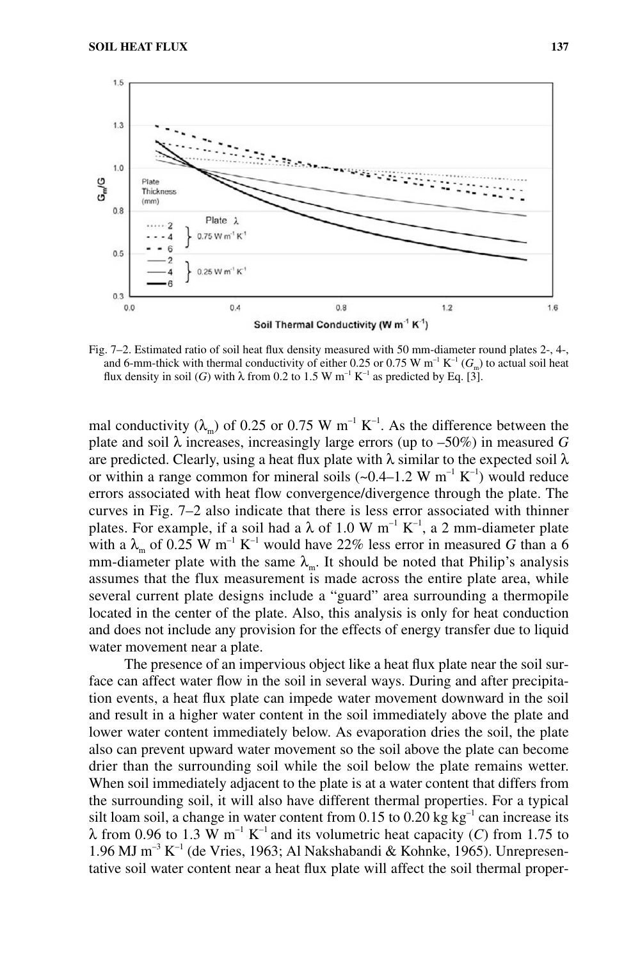

Fig. 7–2. Estimated ratio of soil heat flux density measured with 50 mm-diameter round plates 2-, 4-, and 6-mm-thick with thermal conductivity of either 0.25 or 0.75 W  $m^{-1} K^{-1} (G_m)$  to actual soil heat flux density in soil (*G*) with  $\lambda$  from 0.2 to 1.5 W m<sup>-1</sup> K<sup>-1</sup> as predicted by Eq. [3].

mal conductivity ( $\lambda_m$ ) of 0.25 or 0.75 W m<sup>-1</sup> K<sup>-1</sup>. As the difference between the plate and soil  $\lambda$  increases, increasingly large errors (up to  $-50\%$ ) in measured *G* are predicted. Clearly, using a heat flux plate with  $\lambda$  similar to the expected soil  $\lambda$ or within a range common for mineral soils  $(-0.4-1.2 \text{ W m}^{-1} \text{ K}^{-1})$  would reduce errors associated with heat flow convergence/divergence through the plate. The curves in Fig. 7–2 also indicate that there is less error associated with thinner plates. For example, if a soil had a  $\lambda$  of 1.0 W m<sup>-1</sup> K<sup>-1</sup>, a 2 mm-diameter plate with a  $\lambda_m$  of 0.25 W m<sup>-1</sup> K<sup>-1</sup> would have 22% less error in measured *G* than a 6 mm-diameter plate with the same  $\lambda_{m}$ . It should be noted that Philip's analysis assumes that the flux measurement is made across the entire plate area, while several current plate designs include a "guard" area surrounding a thermopile located in the center of the plate. Also, this analysis is only for heat conduction and does not include any provision for the effects of energy transfer due to liquid water movement near a plate.

The presence of an impervious object like a heat flux plate near the soil surface can affect water flow in the soil in several ways. During and after precipitation events, a heat flux plate can impede water movement downward in the soil and result in a higher water content in the soil immediately above the plate and lower water content immediately below. As evaporation dries the soil, the plate also can prevent upward water movement so the soil above the plate can become drier than the surrounding soil while the soil below the plate remains wetter. When soil immediately adjacent to the plate is at a water content that differs from the surrounding soil, it will also have different thermal properties. For a typical silt loam soil, a change in water content from 0.15 to 0.20 kg kg<sup>-1</sup> can increase its  $\lambda$  from 0.96 to 1.3 W m<sup>-1</sup> K<sup>-1</sup> and its volumetric heat capacity (*C*) from 1.75 to 1.96 MJ m–3 K–1 (de Vries, 1963; Al Nakshabandi & Kohnke, 1965). Unrepresentative soil water content near a heat flux plate will affect the soil thermal proper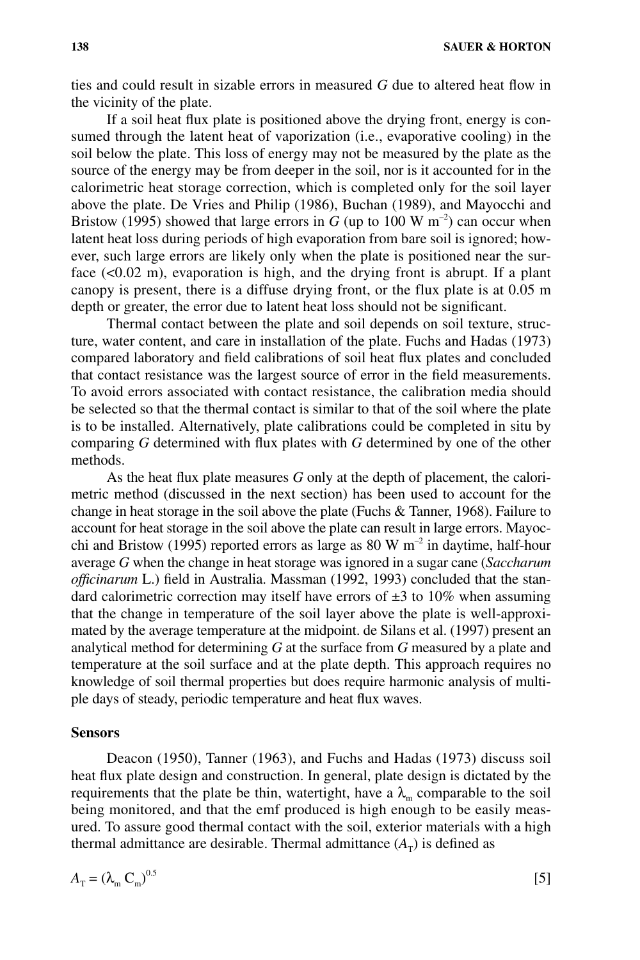ties and could result in sizable errors in measured *G* due to altered heat flow in the vicinity of the plate.

If a soil heat flux plate is positioned above the drying front, energy is consumed through the latent heat of vaporization (i.e., evaporative cooling) in the soil below the plate. This loss of energy may not be measured by the plate as the source of the energy may be from deeper in the soil, nor is it accounted for in the calorimetric heat storage correction, which is completed only for the soil layer above the plate. De Vries and Philip (1986), Buchan (1989), and Mayocchi and Bristow (1995) showed that large errors in  $G$  (up to 100 W m<sup>-2</sup>) can occur when latent heat loss during periods of high evaporation from bare soil is ignored; however, such large errors are likely only when the plate is positioned near the surface (<0.02 m), evaporation is high, and the drying front is abrupt. If a plant canopy is present, there is a diffuse drying front, or the flux plate is at 0.05 m depth or greater, the error due to latent heat loss should not be significant.

Thermal contact between the plate and soil depends on soil texture, structure, water content, and care in installation of the plate. Fuchs and Hadas (1973) compared laboratory and field calibrations of soil heat flux plates and concluded that contact resistance was the largest source of error in the field measurements. To avoid errors associated with contact resistance, the calibration media should be selected so that the thermal contact is similar to that of the soil where the plate is to be installed. Alternatively, plate calibrations could be completed in situ by comparing *G* determined with flux plates with *G* determined by one of the other methods.

As the heat flux plate measures *G* only at the depth of placement, the calorimetric method (discussed in the next section) has been used to account for the change in heat storage in the soil above the plate (Fuchs & Tanner, 1968). Failure to account for heat storage in the soil above the plate can result in large errors. Mayocchi and Bristow (1995) reported errors as large as 80 W  $m^{-2}$  in daytime, half-hour average *G* when the change in heat storage was ignored in a sugar cane (*Saccharum officinarum* L.) field in Australia. Massman (1992, 1993) concluded that the standard calorimetric correction may itself have errors of  $\pm 3$  to 10% when assuming that the change in temperature of the soil layer above the plate is well-approximated by the average temperature at the midpoint. de Silans et al. (1997) present an analytical method for determining *G* at the surface from *G* measured by a plate and temperature at the soil surface and at the plate depth. This approach requires no knowledge of soil thermal properties but does require harmonic analysis of multiple days of steady, periodic temperature and heat flux waves.

#### **Sensors**

Deacon (1950), Tanner (1963), and Fuchs and Hadas (1973) discuss soil heat flux plate design and construction. In general, plate design is dictated by the requirements that the plate be thin, watertight, have a  $\lambda_{m}$  comparable to the soil being monitored, and that the emf produced is high enough to be easily measured. To assure good thermal contact with the soil, exterior materials with a high thermal admittance are desirable. Thermal admittance  $(A_T)$  is defined as

$$
A_{\rm T} = (\lambda_{\rm m} \, \mathbf{C}_{\rm m})^{0.5} \tag{5}
$$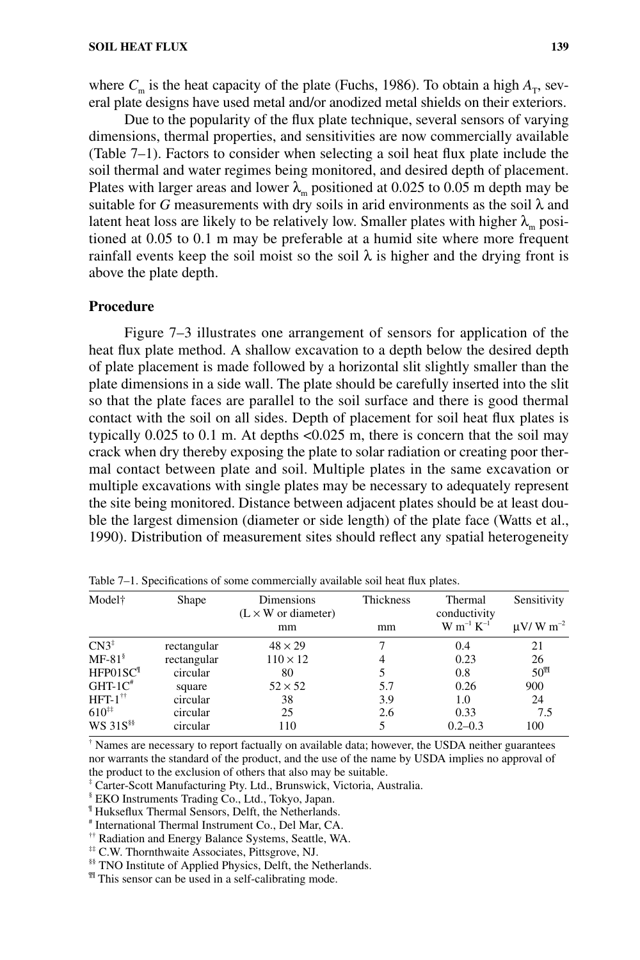where  $C_m$  is the heat capacity of the plate (Fuchs, 1986). To obtain a high  $A_T$ , several plate designs have used metal and/or anodized metal shields on their exteriors.

Due to the popularity of the flux plate technique, several sensors of varying dimensions, thermal properties, and sensitivities are now commercially available (Table 7–1). Factors to consider when selecting a soil heat flux plate include the soil thermal and water regimes being monitored, and desired depth of placement. Plates with larger areas and lower  $\lambda_{\rm m}$  positioned at 0.025 to 0.05 m depth may be suitable for G measurements with dry soils in arid environments as the soil  $\lambda$  and latent heat loss are likely to be relatively low. Smaller plates with higher  $\lambda_m$  positioned at 0.05 to 0.1 m may be preferable at a humid site where more frequent rainfall events keep the soil moist so the soil  $\lambda$  is higher and the drying front is above the plate depth.

## **Procedure**

Figure 7–3 illustrates one arrangement of sensors for application of the heat flux plate method. A shallow excavation to a depth below the desired depth of plate placement is made followed by a horizontal slit slightly smaller than the plate dimensions in a side wall. The plate should be carefully inserted into the slit so that the plate faces are parallel to the soil surface and there is good thermal contact with the soil on all sides. Depth of placement for soil heat flux plates is typically  $0.025$  to  $0.1$  m. At depths  $\langle 0.025$  m, there is concern that the soil may crack when dry thereby exposing the plate to solar radiation or creating poor thermal contact between plate and soil. Multiple plates in the same excavation or multiple excavations with single plates may be necessary to adequately represent the site being monitored. Distance between adjacent plates should be at least double the largest dimension (diameter or side length) of the plate face (Watts et al., 1990). Distribution of measurement sites should reflect any spatial heterogeneity

| Model <sup>†</sup>    | Shape       | Dimensions<br>$(L \times W)$ or diameter) | Thickness | Thermal<br>conductivity | Sensitivity               |
|-----------------------|-------------|-------------------------------------------|-----------|-------------------------|---------------------------|
|                       |             | mm                                        | mm        | $W m^{-1} K^{-1}$       | $\mu$ V/W m <sup>-2</sup> |
| $CN3^{\ddagger}$      | rectangular | $48 \times 29$                            |           | 0.4                     | 21                        |
| $MF-81§$              | rectangular | $110 \times 12$                           |           | 0.23                    | 26                        |
| HFPO1SC <sup>1</sup>  | circular    | 80                                        | 5         | 0.8                     | 50 <sup>III</sup>         |
| $GHT-1C$ <sup>#</sup> | square      | $52 \times 52$                            | 5.7       | 0.26                    | 900                       |
| $HFT-1$ <sup>**</sup> | circular    | 38                                        | 3.9       | 1.0                     | 24                        |
| $610^{**}$            | circular    | 25                                        | 2.6       | 0.33                    | 7.5                       |
| WS 31S <sup>88</sup>  | circular    | 110                                       | 5         | $0.2 - 0.3$             | 100                       |

Table 7–1. Specifications of some commercially available soil heat flux plates.

† Names are necessary to report factually on available data; however, the USDA neither guarantees nor warrants the standard of the product, and the use of the name by USDA implies no approval of the product to the exclusion of others that also may be suitable.

‡ Carter-Scott Manufacturing Pty. Ltd., Brunswick, Victoria, Australia.

§ EKO Instruments Trading Co., Ltd., Tokyo, Japan.

¶ Hukseflux Thermal Sensors, Delft, the Netherlands.

# International Thermal Instrument Co., Del Mar, CA.

†† Radiation and Energy Balance Systems, Seattle, WA. ‡‡ C.W. Thornthwaite Associates, Pittsgrove, NJ. §§ TNO Institute of Applied Physics, Delft, the Netherlands. ¶¶ This sensor can be used in a self-calibrating mode.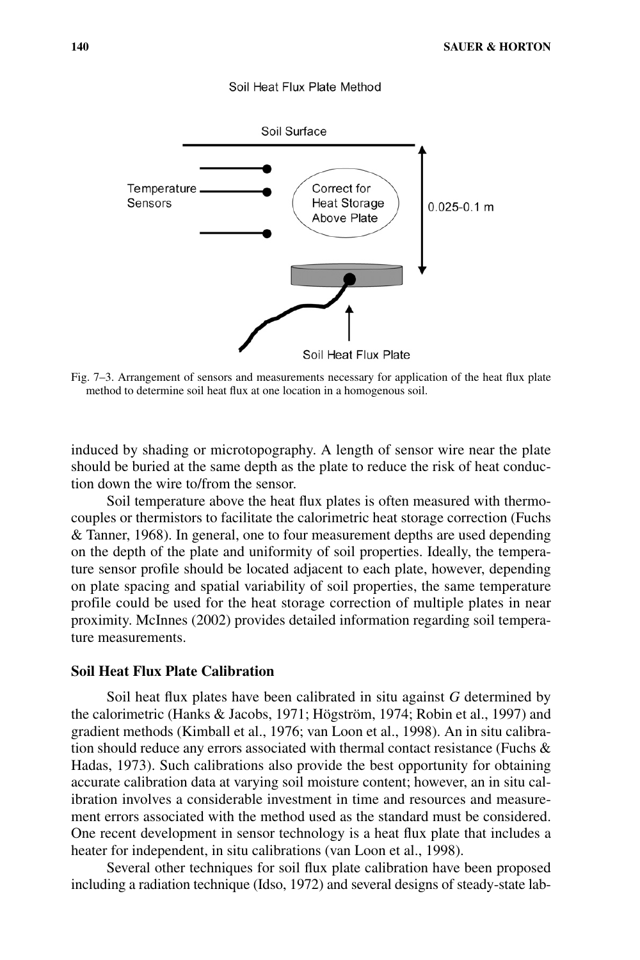

Soil Heat Flux Plate Method

Fig. 7–3. Arrangement of sensors and measurements necessary for application of the heat flux plate method to determine soil heat flux at one location in a homogenous soil.

induced by shading or microtopography. A length of sensor wire near the plate should be buried at the same depth as the plate to reduce the risk of heat conduction down the wire to/from the sensor.

Soil temperature above the heat flux plates is often measured with thermocouples or thermistors to facilitate the calorimetric heat storage correction (Fuchs & Tanner, 1968). In general, one to four measurement depths are used depending on the depth of the plate and uniformity of soil properties. Ideally, the temperature sensor profile should be located adjacent to each plate, however, depending on plate spacing and spatial variability of soil properties, the same temperature profile could be used for the heat storage correction of multiple plates in near proximity. McInnes (2002) provides detailed information regarding soil temperature measurements.

## **Soil Heat Flux Plate Calibration**

Soil heat flux plates have been calibrated in situ against *G* determined by the calorimetric (Hanks & Jacobs, 1971; Högström, 1974; Robin et al., 1997) and gradient methods (Kimball et al., 1976; van Loon et al., 1998). An in situ calibration should reduce any errors associated with thermal contact resistance (Fuchs & Hadas, 1973). Such calibrations also provide the best opportunity for obtaining accurate calibration data at varying soil moisture content; however, an in situ calibration involves a considerable investment in time and resources and measurement errors associated with the method used as the standard must be considered. One recent development in sensor technology is a heat flux plate that includes a heater for independent, in situ calibrations (van Loon et al., 1998).

Several other techniques for soil flux plate calibration have been proposed including a radiation technique (Idso, 1972) and several designs of steady-state lab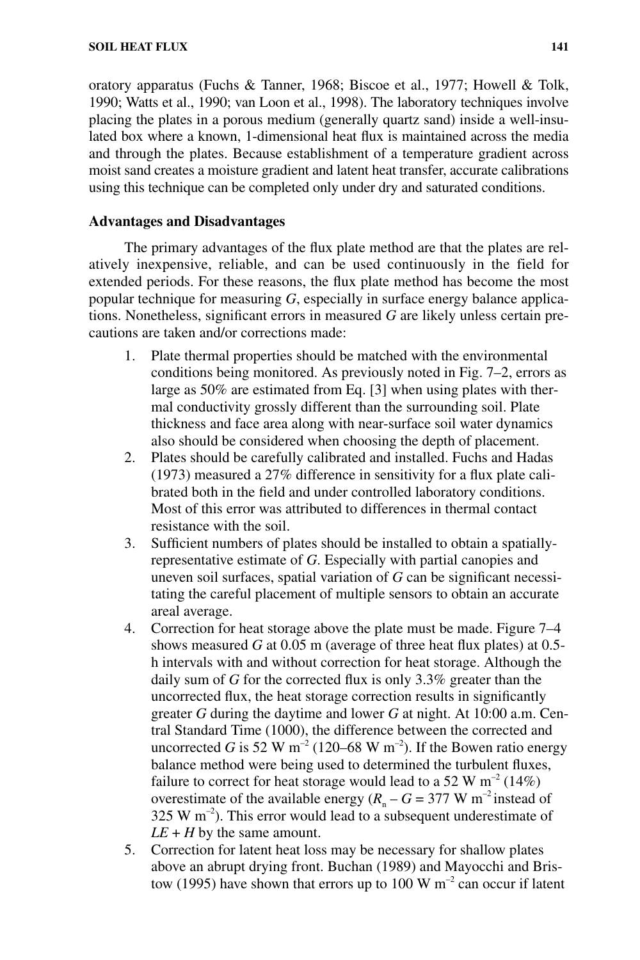oratory apparatus (Fuchs & Tanner, 1968; Biscoe et al., 1977; Howell & Tolk, 1990; Watts et al., 1990; van Loon et al., 1998). The laboratory techniques involve placing the plates in a porous medium (generally quartz sand) inside a well-insulated box where a known, 1-dimensional heat flux is maintained across the media and through the plates. Because establishment of a temperature gradient across moist sand creates a moisture gradient and latent heat transfer, accurate calibrations using this technique can be completed only under dry and saturated conditions.

# **Advantages and Disadvantages**

The primary advantages of the flux plate method are that the plates are relatively inexpensive, reliable, and can be used continuously in the field for extended periods. For these reasons, the flux plate method has become the most popular technique for measuring *G*, especially in surface energy balance applications. Nonetheless, significant errors in measured *G* are likely unless certain precautions are taken and/or corrections made:

- 1. Plate thermal properties should be matched with the environmental conditions being monitored. As previously noted in Fig. 7–2, errors as large as 50% are estimated from Eq. [3] when using plates with thermal conductivity grossly different than the surrounding soil. Plate thickness and face area along with near-surface soil water dynamics also should be considered when choosing the depth of placement.
- 2. Plates should be carefully calibrated and installed. Fuchs and Hadas (1973) measured a 27% difference in sensitivity for a flux plate calibrated both in the field and under controlled laboratory conditions. Most of this error was attributed to differences in thermal contact resistance with the soil.
- 3. Sufficient numbers of plates should be installed to obtain a spatiallyrepresentative estimate of *G*. Especially with partial canopies and uneven soil surfaces, spatial variation of *G* can be significant necessitating the careful placement of multiple sensors to obtain an accurate areal average.
- 4. Correction for heat storage above the plate must be made. Figure 7–4 shows measured *G* at 0.05 m (average of three heat flux plates) at 0.5 h intervals with and without correction for heat storage. Although the daily sum of *G* for the corrected flux is only 3.3% greater than the uncorrected flux, the heat storage correction results in significantly greater *G* during the daytime and lower *G* at night. At 10:00 a.m. Central Standard Time (1000), the difference between the corrected and uncorrected *G* is 52 W m<sup>-2</sup> (120–68 W m<sup>-2</sup>). If the Bowen ratio energy balance method were being used to determined the turbulent fluxes, failure to correct for heat storage would lead to a 52 W  $m^{-2}$  (14%) overestimate of the available energy  $(R_n - G = 377 \text{ W m}^{-2} \text{ instead of }$  $325 \text{ W m}^{-2}$ ). This error would lead to a subsequent underestimate of  $LE + H$  by the same amount.
- 5. Correction for latent heat loss may be necessary for shallow plates above an abrupt drying front. Buchan (1989) and Mayocchi and Bristow (1995) have shown that errors up to 100 W  $m^{-2}$  can occur if latent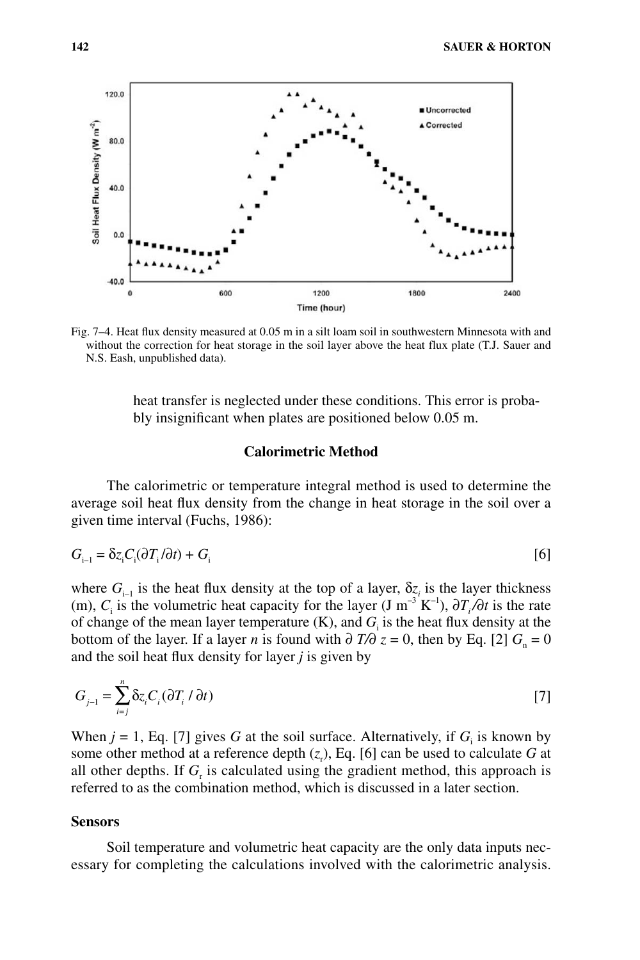

Fig. 7–4. Heat flux density measured at 0.05 m in a silt loam soil in southwestern Minnesota with and without the correction for heat storage in the soil layer above the heat flux plate (T.J. Sauer and N.S. Eash, unpublished data).

heat transfer is neglected under these conditions. This error is probably insignificant when plates are positioned below 0.05 m.

## **Calorimetric Method**

The calorimetric or temperature integral method is used to determine the average soil heat flux density from the change in heat storage in the soil over a given time interval (Fuchs, 1986):

$$
G_{i-1} = \delta z_i C_i (\partial T_i / \partial t) + G_i
$$

where  $G_{i-1}$  is the heat flux density at the top of a layer,  $\delta z_i$  is the layer thickness (m),  $C_i$  is the volumetric heat capacity for the layer (J m<sup>-3</sup> K<sup>-1</sup>),  $\frac{\partial T}{\partial t}$  is the rate of change of the mean layer temperature  $(K)$ , and  $G<sub>i</sub>$  is the heat flux density at the bottom of the layer. If a layer *n* is found with  $\partial T/\partial z = 0$ , then by Eq. [2]  $G_n = 0$ and the soil heat flux density for layer *j* is given by

$$
G_{j-1} = \sum_{i=j}^{n} \delta z_i C_i (\partial T_i / \partial t)
$$
 [7]

When  $j = 1$ , Eq. [7] gives G at the soil surface. Alternatively, if  $G_i$  is known by some other method at a reference depth  $(z_r)$ , Eq. [6] can be used to calculate G at all other depths. If  $G_r$  is calculated using the gradient method, this approach is referred to as the combination method, which is discussed in a later section.

#### **Sensors**

Soil temperature and volumetric heat capacity are the only data inputs necessary for completing the calculations involved with the calorimetric analysis.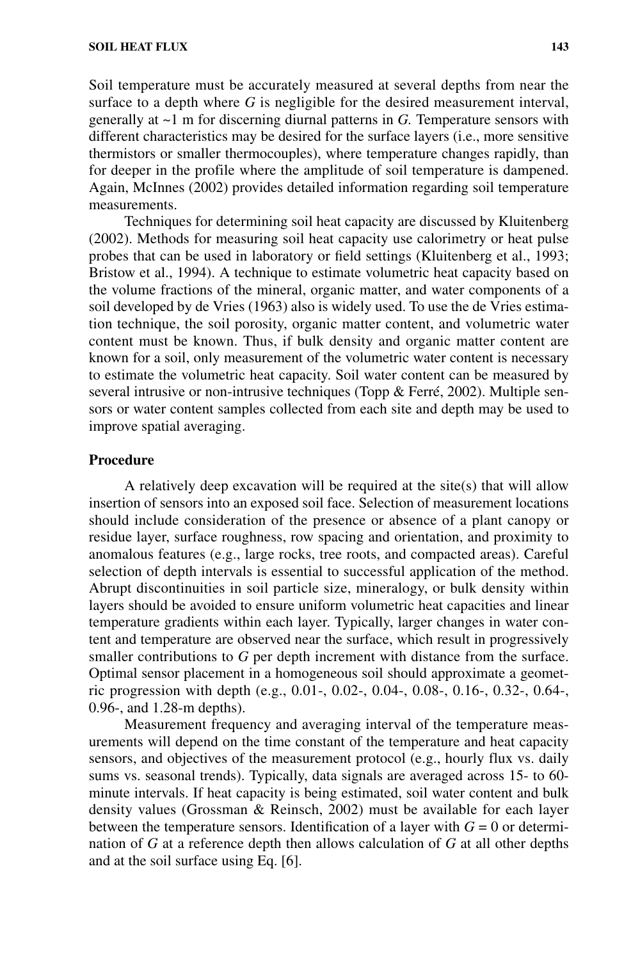Soil temperature must be accurately measured at several depths from near the surface to a depth where *G* is negligible for the desired measurement interval, generally at ~1 m for discerning diurnal patterns in *G.* Temperature sensors with different characteristics may be desired for the surface layers (i.e., more sensitive thermistors or smaller thermocouples), where temperature changes rapidly, than for deeper in the profile where the amplitude of soil temperature is dampened. Again, McInnes (2002) provides detailed information regarding soil temperature measurements.

Techniques for determining soil heat capacity are discussed by Kluitenberg (2002). Methods for measuring soil heat capacity use calorimetry or heat pulse probes that can be used in laboratory or field settings (Kluitenberg et al., 1993; Bristow et al., 1994). A technique to estimate volumetric heat capacity based on the volume fractions of the mineral, organic matter, and water components of a soil developed by de Vries (1963) also is widely used. To use the de Vries estimation technique, the soil porosity, organic matter content, and volumetric water content must be known. Thus, if bulk density and organic matter content are known for a soil, only measurement of the volumetric water content is necessary to estimate the volumetric heat capacity. Soil water content can be measured by several intrusive or non-intrusive techniques (Topp & Ferré, 2002). Multiple sensors or water content samples collected from each site and depth may be used to improve spatial averaging.

## **Procedure**

A relatively deep excavation will be required at the site(s) that will allow insertion of sensors into an exposed soil face. Selection of measurement locations should include consideration of the presence or absence of a plant canopy or residue layer, surface roughness, row spacing and orientation, and proximity to anomalous features (e.g., large rocks, tree roots, and compacted areas). Careful selection of depth intervals is essential to successful application of the method. Abrupt discontinuities in soil particle size, mineralogy, or bulk density within layers should be avoided to ensure uniform volumetric heat capacities and linear temperature gradients within each layer. Typically, larger changes in water content and temperature are observed near the surface, which result in progressively smaller contributions to *G* per depth increment with distance from the surface. Optimal sensor placement in a homogeneous soil should approximate a geometric progression with depth (e.g., 0.01-, 0.02-, 0.04-, 0.08-, 0.16-, 0.32-, 0.64-, 0.96-, and 1.28-m depths).

Measurement frequency and averaging interval of the temperature measurements will depend on the time constant of the temperature and heat capacity sensors, and objectives of the measurement protocol (e.g., hourly flux vs. daily sums vs. seasonal trends). Typically, data signals are averaged across 15- to 60 minute intervals. If heat capacity is being estimated, soil water content and bulk density values (Grossman & Reinsch, 2002) must be available for each layer between the temperature sensors. Identification of a layer with  $G = 0$  or determination of *G* at a reference depth then allows calculation of *G* at all other depths and at the soil surface using Eq. [6].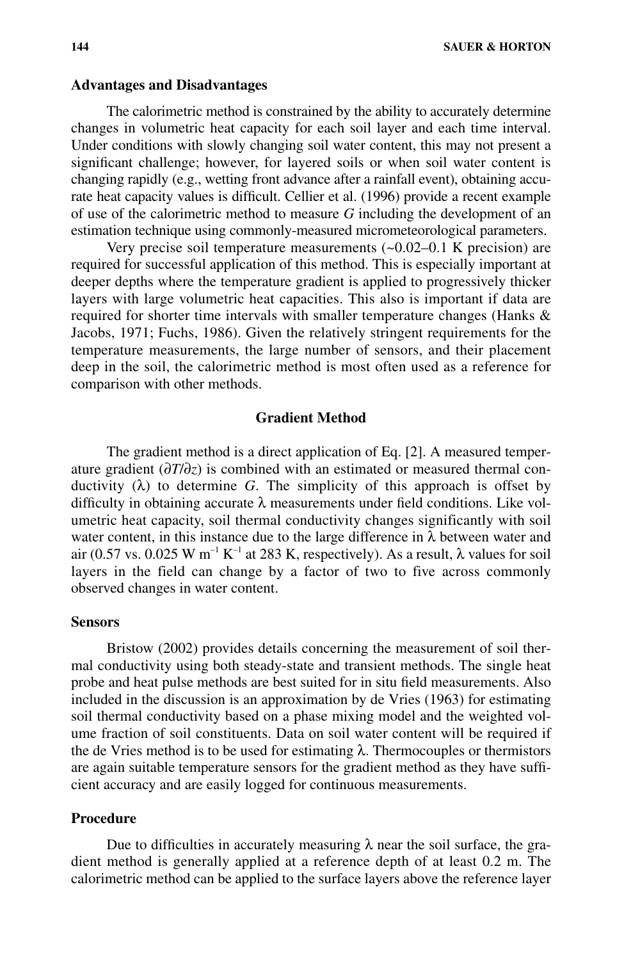#### **Advantages and Disadvantages**

The calorimetric method is constrained by the ability to accurately determine changes in volumetric heat capacity for each soil layer and each time interval. Under conditions with slowly changing soil water content, this may not present a significant challenge; however, for layered soils or when soil water content is changing rapidly (e.g., wetting front advance after a rainfall event), obtaining accurate heat capacity values is difficult. Cellier et al. (1996) provide a recent example of use of the calorimetric method to measure *G* including the development of an estimation technique using commonly-measured micrometeorological parameters.

Very precise soil temperature measurements  $(\sim 0.02 - 0.1 \text{ K}$  precision) are required for successful application of this method. This is especially important at deeper depths where the temperature gradient is applied to progressively thicker layers with large volumetric heat capacities. This also is important if data are required for shorter time intervals with smaller temperature changes (Hanks & Jacobs, 1971; Fuchs, 1986). Given the relatively stringent requirements for the temperature measurements, the large number of sensors, and their placement deep in the soil, the calorimetric method is most often used as a reference for comparison with other methods.

## **Gradient Method**

The gradient method is a direct application of Eq. [2]. A measured temperature gradient  $(\partial T/\partial z)$  is combined with an estimated or measured thermal conductivity  $(\lambda)$  to determine *G*. The simplicity of this approach is offset by difficulty in obtaining accurate  $\lambda$  measurements under field conditions. Like volumetric heat capacity, soil thermal conductivity changes significantly with soil water content, in this instance due to the large difference in  $\lambda$  between water and air (0.57 vs. 0.025 W  $m^{-1} K^{-1}$  at 283 K, respectively). As a result,  $\lambda$  values for soil layers in the field can change by a factor of two to five across commonly observed changes in water content.

## **Sensors**

Bristow (2002) provides details concerning the measurement of soil thermal conductivity using both steady-state and transient methods. The single heat probe and heat pulse methods are best suited for in situ field measurements. Also included in the discussion is an approximation by de Vries (1963) for estimating soil thermal conductivity based on a phase mixing model and the weighted volume fraction of soil constituents. Data on soil water content will be required if the de Vries method is to be used for estimating  $\lambda$ . Thermocouples or thermistors are again suitable temperature sensors for the gradient method as they have sufficient accuracy and are easily logged for continuous measurements.

# **Procedure**

Due to difficulties in accurately measuring  $\lambda$  near the soil surface, the gradient method is generally applied at a reference depth of at least 0.2 m. The calorimetric method can be applied to the surface layers above the reference layer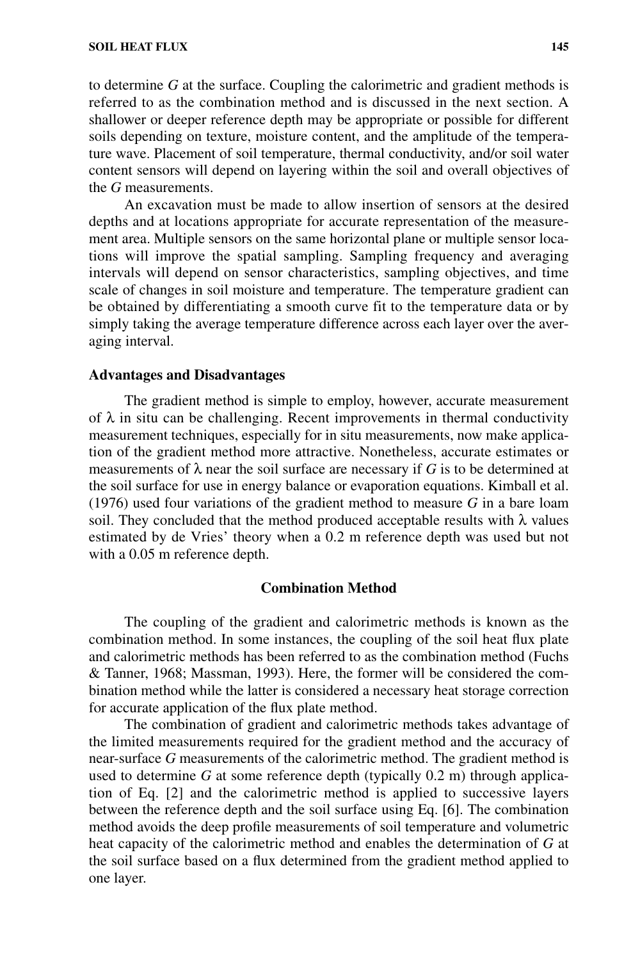to determine *G* at the surface. Coupling the calorimetric and gradient methods is referred to as the combination method and is discussed in the next section. A shallower or deeper reference depth may be appropriate or possible for different soils depending on texture, moisture content, and the amplitude of the temperature wave. Placement of soil temperature, thermal conductivity, and/or soil water content sensors will depend on layering within the soil and overall objectives of the *G* measurements.

An excavation must be made to allow insertion of sensors at the desired depths and at locations appropriate for accurate representation of the measurement area. Multiple sensors on the same horizontal plane or multiple sensor locations will improve the spatial sampling. Sampling frequency and averaging intervals will depend on sensor characteristics, sampling objectives, and time scale of changes in soil moisture and temperature. The temperature gradient can be obtained by differentiating a smooth curve fit to the temperature data or by simply taking the average temperature difference across each layer over the averaging interval.

#### **Advantages and Disadvantages**

The gradient method is simple to employ, however, accurate measurement of  $\lambda$  in situ can be challenging. Recent improvements in thermal conductivity measurement techniques, especially for in situ measurements, now make application of the gradient method more attractive. Nonetheless, accurate estimates or measurements of  $\lambda$  near the soil surface are necessary if G is to be determined at the soil surface for use in energy balance or evaporation equations. Kimball et al. (1976) used four variations of the gradient method to measure *G* in a bare loam soil. They concluded that the method produced acceptable results with  $\lambda$  values estimated by de Vries' theory when a 0.2 m reference depth was used but not with a 0.05 m reference depth.

## **Combination Method**

The coupling of the gradient and calorimetric methods is known as the combination method. In some instances, the coupling of the soil heat flux plate and calorimetric methods has been referred to as the combination method (Fuchs & Tanner, 1968; Massman, 1993). Here, the former will be considered the combination method while the latter is considered a necessary heat storage correction for accurate application of the flux plate method.

The combination of gradient and calorimetric methods takes advantage of the limited measurements required for the gradient method and the accuracy of near-surface *G* measurements of the calorimetric method. The gradient method is used to determine *G* at some reference depth (typically 0.2 m) through application of Eq. [2] and the calorimetric method is applied to successive layers between the reference depth and the soil surface using Eq. [6]. The combination method avoids the deep profile measurements of soil temperature and volumetric heat capacity of the calorimetric method and enables the determination of *G* at the soil surface based on a flux determined from the gradient method applied to one layer.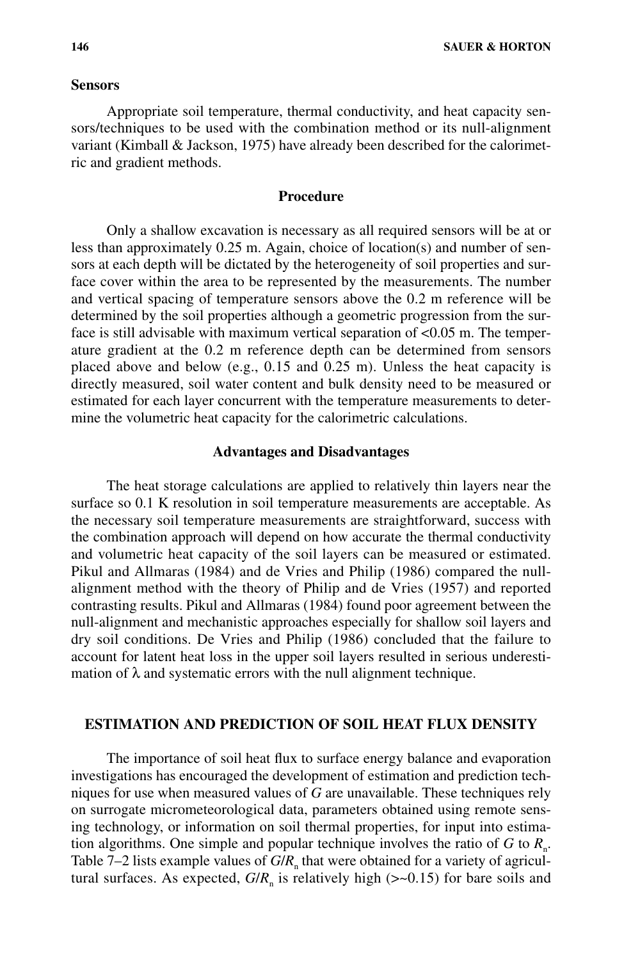#### **Sensors**

Appropriate soil temperature, thermal conductivity, and heat capacity sensors/techniques to be used with the combination method or its null-alignment variant (Kimball & Jackson, 1975) have already been described for the calorimetric and gradient methods.

## **Procedure**

Only a shallow excavation is necessary as all required sensors will be at or less than approximately 0.25 m. Again, choice of location(s) and number of sensors at each depth will be dictated by the heterogeneity of soil properties and surface cover within the area to be represented by the measurements. The number and vertical spacing of temperature sensors above the 0.2 m reference will be determined by the soil properties although a geometric progression from the surface is still advisable with maximum vertical separation of <0.05 m. The temperature gradient at the 0.2 m reference depth can be determined from sensors placed above and below (e.g., 0.15 and 0.25 m). Unless the heat capacity is directly measured, soil water content and bulk density need to be measured or estimated for each layer concurrent with the temperature measurements to determine the volumetric heat capacity for the calorimetric calculations.

# **Advantages and Disadvantages**

The heat storage calculations are applied to relatively thin layers near the surface so 0.1 K resolution in soil temperature measurements are acceptable. As the necessary soil temperature measurements are straightforward, success with the combination approach will depend on how accurate the thermal conductivity and volumetric heat capacity of the soil layers can be measured or estimated. Pikul and Allmaras (1984) and de Vries and Philip (1986) compared the nullalignment method with the theory of Philip and de Vries (1957) and reported contrasting results. Pikul and Allmaras (1984) found poor agreement between the null-alignment and mechanistic approaches especially for shallow soil layers and dry soil conditions. De Vries and Philip (1986) concluded that the failure to account for latent heat loss in the upper soil layers resulted in serious underestimation of  $\lambda$  and systematic errors with the null alignment technique.

## **ESTIMATION AND PREDICTION OF SOIL HEAT FLUX DENSITY**

The importance of soil heat flux to surface energy balance and evaporation investigations has encouraged the development of estimation and prediction techniques for use when measured values of *G* are unavailable. These techniques rely on surrogate micrometeorological data, parameters obtained using remote sensing technology, or information on soil thermal properties, for input into estimation algorithms. One simple and popular technique involves the ratio of *G* to *R*n. Table 7–2 lists example values of  $G/R<sub>n</sub>$  that were obtained for a variety of agricultural surfaces. As expected,  $G/R<sub>n</sub>$  is relatively high ( $>0.15$ ) for bare soils and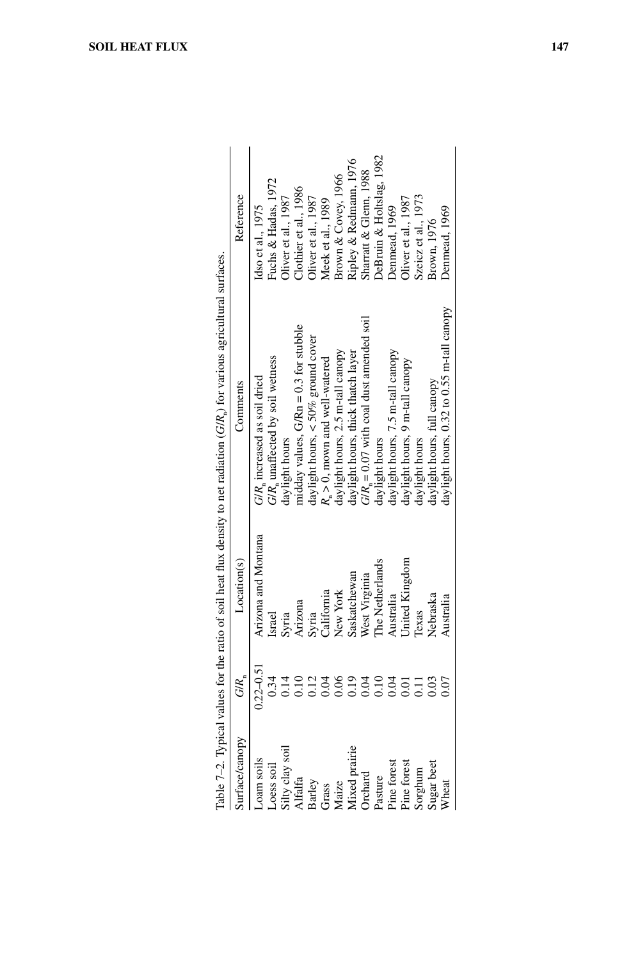|                 |                   |                     | Table 7–2. Typical values for the ratio of soil heat flux density to net radiation $(G/R_n)$ for various agricultural surfaces. |                          |
|-----------------|-------------------|---------------------|---------------------------------------------------------------------------------------------------------------------------------|--------------------------|
| Surface/canopy  | G/R,              | Location(s)         | Comments                                                                                                                        | Reference                |
| Loam soils      | $0.22 - 0.51$     | Arizona and Montana | G/R, increased as soil dried                                                                                                    | Idso et al., 1975        |
| Loess soil      | 0.34              | Israel              | G/R <sub>n</sub> unaffected by soil wetness                                                                                     | Fuchs & Hadas, 1972      |
| Silty clay soil | 0.14              | Syria               | daylight hours                                                                                                                  | Oliver et al., 1987      |
| Alfalfa         |                   | Arizona             | midday values, $G/Rn = 0.3$ for stubble                                                                                         | Clothier et al., 1986    |
| Barley          | 112               | Syria               | daylight hours, < 50% ground cover                                                                                              | Oliver et al., 1987      |
| Grass           | 0.04              | California          | $R_{n} > 0$ , mown and well-watered                                                                                             | Meek et al., 1989        |
| Maize           | 0.06              | New York            | daylight hours, 2.5 m-tall canopy                                                                                               | Brown & Covey, 1966      |
| Mixed prairie   | 0.19              | Saskatchewan        | daylight hours, thick thatch layer                                                                                              | Ripley & Redmann, 1976   |
| Orchard         | 0.04              | West Virginia       | $G/R_n = 0.07$ with coal dust amended soil                                                                                      | Sharratt & Glenn, 1988   |
| Pasture         | 0.10              | The Netherlands     | daylight hours                                                                                                                  | DeBruin & Holtslag, 1982 |
| Pine forest     | 0.04              | Australia           | daylight hours, 7.5 m-tall canopy                                                                                               | Denmead, 1969            |
| Pine forest     | $\overline{0.01}$ | United Kingdom      | daylight hours, 9 m-tall canopy                                                                                                 | Oliver et al., 1987      |
| Sorghum         | $\Xi$             | Texas               | daylight hours                                                                                                                  | Szeicz et al., 1973      |
| Sugar beet      | 0.03              | Nebraska            | daylight hours, full canopy                                                                                                     | Brown, 1976              |
| Wheat           | 0.07              | Australia           | daylight hours, 0.32 to 0.55 m-tall canopy                                                                                      | Denmead, 1969            |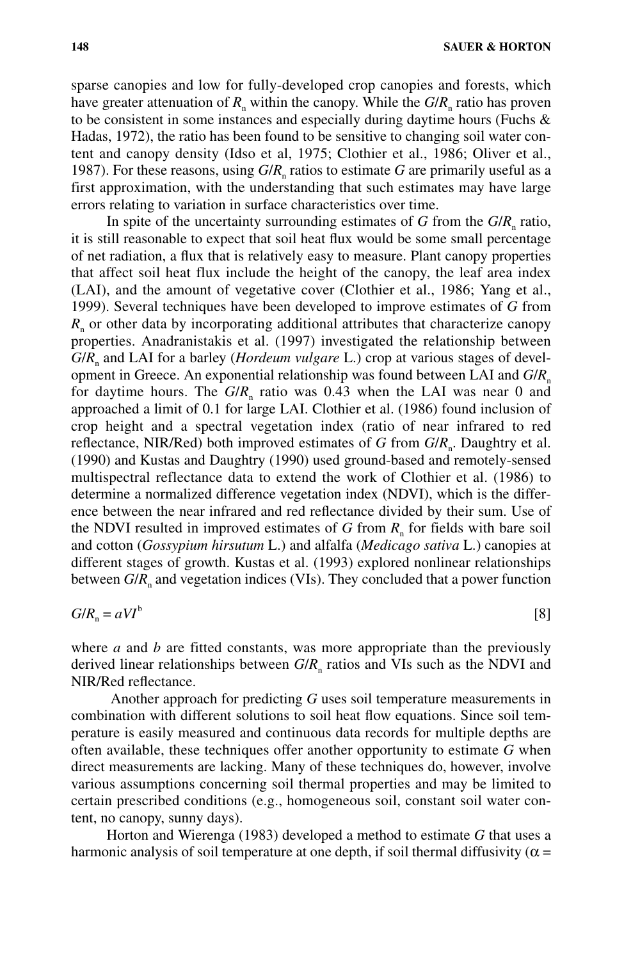sparse canopies and low for fully-developed crop canopies and forests, which have greater attenuation of  $R_n$  within the canopy. While the  $G/R_n$  ratio has proven to be consistent in some instances and especially during daytime hours (Fuchs & Hadas, 1972), the ratio has been found to be sensitive to changing soil water content and canopy density (Idso et al, 1975; Clothier et al., 1986; Oliver et al., 1987). For these reasons, using  $G/R<sub>n</sub>$  ratios to estimate G are primarily useful as a first approximation, with the understanding that such estimates may have large errors relating to variation in surface characteristics over time.

In spite of the uncertainty surrounding estimates of  $G$  from the  $G/R<sub>n</sub>$  ratio, it is still reasonable to expect that soil heat flux would be some small percentage of net radiation, a flux that is relatively easy to measure. Plant canopy properties that affect soil heat flux include the height of the canopy, the leaf area index (LAI), and the amount of vegetative cover (Clothier et al., 1986; Yang et al., 1999). Several techniques have been developed to improve estimates of *G* from  $R_n$  or other data by incorporating additional attributes that characterize canopy properties. Anadranistakis et al. (1997) investigated the relationship between *G*/*R*<sup>n</sup> and LAI for a barley (*Hordeum vulgare* L.) crop at various stages of development in Greece. An exponential relationship was found between LAI and  $G/R<sub>n</sub>$ for daytime hours. The  $G/R<sub>n</sub>$  ratio was 0.43 when the LAI was near 0 and approached a limit of 0.1 for large LAI. Clothier et al. (1986) found inclusion of crop height and a spectral vegetation index (ratio of near infrared to red reflectance, NIR/Red) both improved estimates of *G* from  $G/R_n$ . Daughtry et al. (1990) and Kustas and Daughtry (1990) used ground-based and remotely-sensed multispectral reflectance data to extend the work of Clothier et al. (1986) to determine a normalized difference vegetation index (NDVI), which is the difference between the near infrared and red reflectance divided by their sum. Use of the NDVI resulted in improved estimates of  $G$  from  $R_n$  for fields with bare soil and cotton (*Gossypium hirsutum* L.) and alfalfa (*Medicago sativa* L.) canopies at different stages of growth. Kustas et al. (1993) explored nonlinear relationships between  $G/R_n$  and vegetation indices (VIs). They concluded that a power function

$$
G/R_{\rm n} = aVI^{\rm b} \tag{8}
$$

where *a* and *b* are fitted constants, was more appropriate than the previously derived linear relationships between  $G/R<sub>n</sub>$  ratios and VIs such as the NDVI and NIR/Red reflectance.

Another approach for predicting *G* uses soil temperature measurements in combination with different solutions to soil heat flow equations. Since soil temperature is easily measured and continuous data records for multiple depths are often available, these techniques offer another opportunity to estimate *G* when direct measurements are lacking. Many of these techniques do, however, involve various assumptions concerning soil thermal properties and may be limited to certain prescribed conditions (e.g., homogeneous soil, constant soil water content, no canopy, sunny days).

Horton and Wierenga (1983) developed a method to estimate *G* that uses a harmonic analysis of soil temperature at one depth, if soil thermal diffusivity ( $\alpha$  =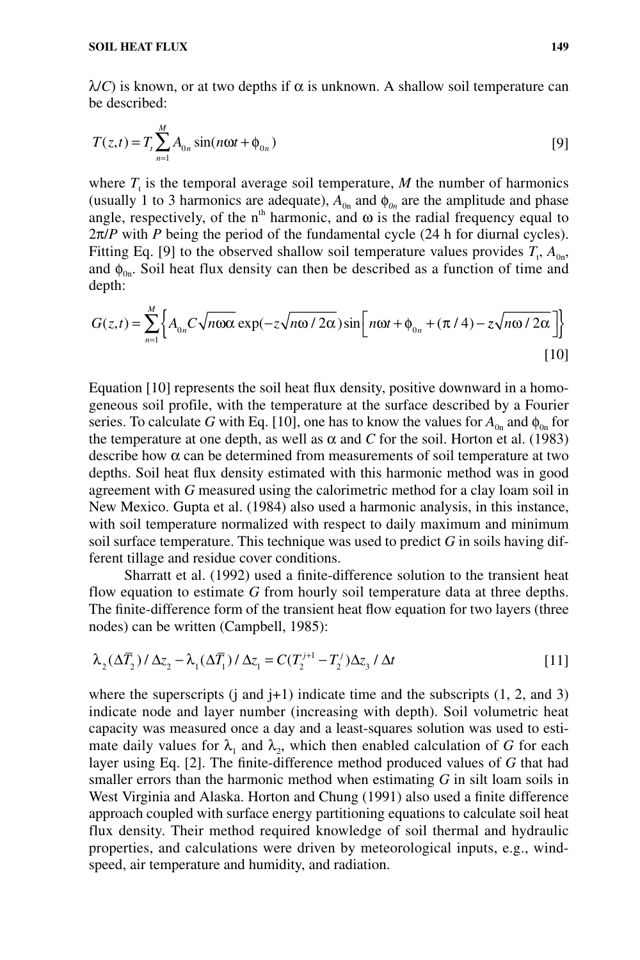$\lambda$ *C*) is known, or at two depths if  $\alpha$  is unknown. A shallow soil temperature can be described:

$$
T(z,t) = T_{t} \sum_{n=1}^{M} A_{0n} \sin(n\omega t + \phi_{0n})
$$
 [9]

where  $T_t$  is the temporal average soil temperature,  $M$  the number of harmonics (usually 1 to 3 harmonics are adequate),  $A_{0n}$  and  $\phi_{0n}$  are the amplitude and phase angle, respectively, of the  $n<sup>th</sup>$  harmonic, and  $\omega$  is the radial frequency equal to  $2\pi$ /*P* with *P* being the period of the fundamental cycle (24 h for diurnal cycles). Fitting Eq. [9] to the observed shallow soil temperature values provides  $T_t$ ,  $A_{0n}$ , and  $\phi_{0n}$ . Soil heat flux density can then be described as a function of time and depth:

$$
G(z,t) = \sum_{n=1}^{M} \left\{ A_{0n} C \sqrt{n \omega \alpha} \exp(-z \sqrt{n \omega / 2 \alpha}) \sin \left[ n \omega t + \phi_{0n} + (\pi / 4) - z \sqrt{n \omega / 2 \alpha} \right] \right\}
$$
\n[10]

Equation [10] represents the soil heat flux density, positive downward in a homogeneous soil profile, with the temperature at the surface described by a Fourier series. To calculate *G* with Eq. [10], one has to know the values for  $A_{0n}$  and  $\phi_{0n}$  for the temperature at one depth, as well as  $\alpha$  and *C* for the soil. Horton et al. (1983) describe how  $\alpha$  can be determined from measurements of soil temperature at two depths. Soil heat flux density estimated with this harmonic method was in good agreement with *G* measured using the calorimetric method for a clay loam soil in New Mexico. Gupta et al. (1984) also used a harmonic analysis, in this instance, with soil temperature normalized with respect to daily maximum and minimum soil surface temperature. This technique was used to predict *G* in soils having different tillage and residue cover conditions.

Sharratt et al. (1992) used a finite-difference solution to the transient heat flow equation to estimate *G* from hourly soil temperature data at three depths. The finite-difference form of the transient heat flow equation for two layers (three nodes) can be written (Campbell, 1985):

$$
\lambda_2(\Delta \overline{T}_2) / \Delta z_2 - \lambda_1(\Delta \overline{T}_1) / \Delta z_1 = C(T_2^{j+1} - T_2^j) \Delta z_3 / \Delta t
$$
\n[11]

where the superscripts  $(i \text{ and } j+1)$  indicate time and the subscripts  $(1, 2, \text{ and } 3)$ indicate node and layer number (increasing with depth). Soil volumetric heat capacity was measured once a day and a least-squares solution was used to estimate daily values for  $\lambda_1$  and  $\lambda_2$ , which then enabled calculation of *G* for each layer using Eq. [2]. The finite-difference method produced values of *G* that had smaller errors than the harmonic method when estimating *G* in silt loam soils in West Virginia and Alaska. Horton and Chung (1991) also used a finite difference approach coupled with surface energy partitioning equations to calculate soil heat flux density. Their method required knowledge of soil thermal and hydraulic properties, and calculations were driven by meteorological inputs, e.g., windspeed, air temperature and humidity, and radiation.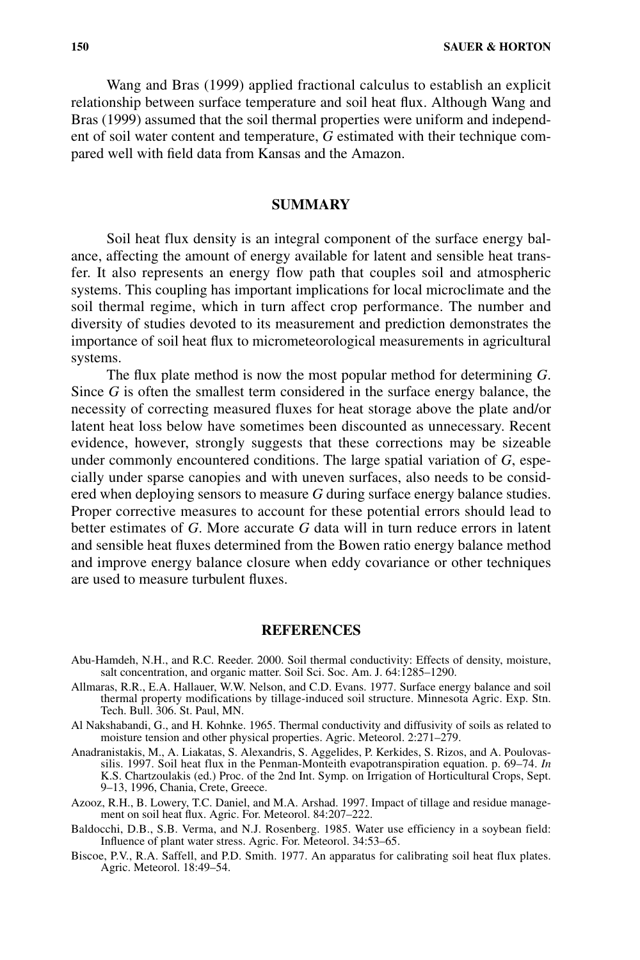Wang and Bras (1999) applied fractional calculus to establish an explicit relationship between surface temperature and soil heat flux. Although Wang and Bras (1999) assumed that the soil thermal properties were uniform and independent of soil water content and temperature, *G* estimated with their technique compared well with field data from Kansas and the Amazon.

## **SUMMARY**

Soil heat flux density is an integral component of the surface energy balance, affecting the amount of energy available for latent and sensible heat transfer. It also represents an energy flow path that couples soil and atmospheric systems. This coupling has important implications for local microclimate and the soil thermal regime, which in turn affect crop performance. The number and diversity of studies devoted to its measurement and prediction demonstrates the importance of soil heat flux to micrometeorological measurements in agricultural systems.

The flux plate method is now the most popular method for determining *G*. Since *G* is often the smallest term considered in the surface energy balance, the necessity of correcting measured fluxes for heat storage above the plate and/or latent heat loss below have sometimes been discounted as unnecessary. Recent evidence, however, strongly suggests that these corrections may be sizeable under commonly encountered conditions. The large spatial variation of *G*, especially under sparse canopies and with uneven surfaces, also needs to be considered when deploying sensors to measure *G* during surface energy balance studies. Proper corrective measures to account for these potential errors should lead to better estimates of *G*. More accurate *G* data will in turn reduce errors in latent and sensible heat fluxes determined from the Bowen ratio energy balance method and improve energy balance closure when eddy covariance or other techniques are used to measure turbulent fluxes.

#### **REFERENCES**

- Abu-Hamdeh, N.H., and R.C. Reeder. 2000. Soil thermal conductivity: Effects of density, moisture, salt concentration, and organic matter. Soil Sci. Soc. Am. J. 64:1285–1290.
- Allmaras, R.R., E.A. Hallauer, W.W. Nelson, and C.D. Evans. 1977. Surface energy balance and soil thermal property modifications by tillage-induced soil structure. Minnesota Agric. Exp. Stn. Tech. Bull. 306. St. Paul, MN.
- Al Nakshabandi, G., and H. Kohnke. 1965. Thermal conductivity and diffusivity of soils as related to moisture tension and other physical properties. Agric. Meteorol. 2:271–279.
- Anadranistakis, M., A. Liakatas, S. Alexandris, S. Aggelides, P. Kerkides, S. Rizos, and A. Poulovassilis. 1997. Soil heat flux in the Penman-Monteith evapotranspiration equation. p. 69–74. *In* K.S. Chartzoulakis (ed.) Proc. of the 2nd Int. Symp. on Irrigation of Horticultural Crops, Sept. 9–13, 1996, Chania, Crete, Greece.
- Azooz, R.H., B. Lowery, T.C. Daniel, and M.A. Arshad. 1997. Impact of tillage and residue management on soil heat flux. Agric. For. Meteorol. 84:207–222.
- Baldocchi, D.B., S.B. Verma, and N.J. Rosenberg. 1985. Water use efficiency in a soybean field: Influence of plant water stress. Agric. For. Meteorol. 34:53–65.
- Biscoe, P.V., R.A. Saffell, and P.D. Smith. 1977. An apparatus for calibrating soil heat flux plates. Agric. Meteorol. 18:49–54.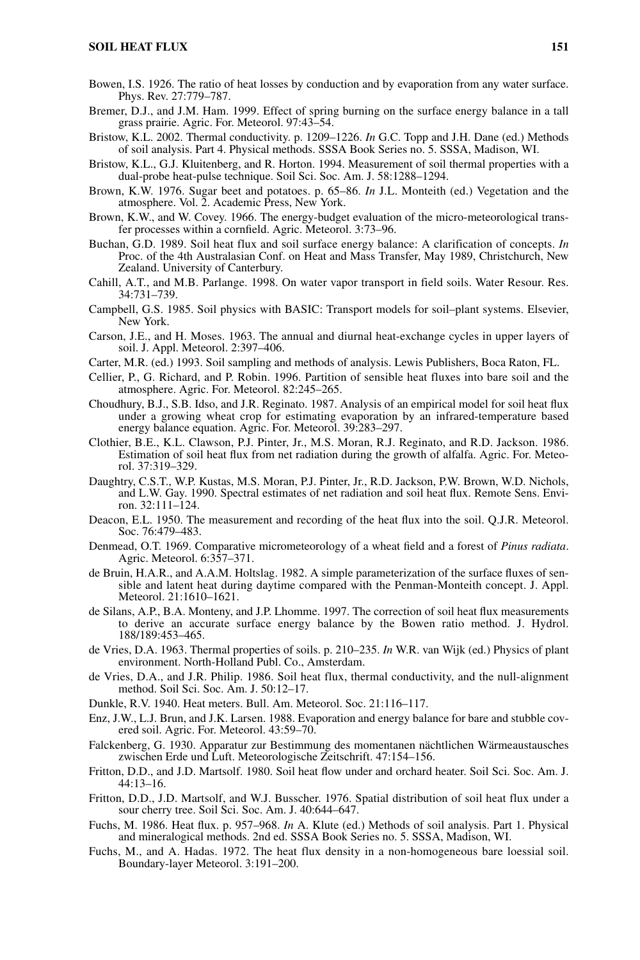- Bowen, I.S. 1926. The ratio of heat losses by conduction and by evaporation from any water surface. Phys. Rev. 27:779–787.
- Bremer, D.J., and J.M. Ham. 1999. Effect of spring burning on the surface energy balance in a tall grass prairie. Agric. For. Meteorol. 97:43–54.
- Bristow, K.L. 2002. Thermal conductivity. p. 1209–1226. *In* G.C. Topp and J.H. Dane (ed.) Methods of soil analysis. Part 4. Physical methods. SSSA Book Series no. 5. SSSA, Madison, WI.
- Bristow, K.L., G.J. Kluitenberg, and R. Horton. 1994. Measurement of soil thermal properties with a dual-probe heat-pulse technique. Soil Sci. Soc. Am. J. 58:1288–1294.
- Brown, K.W. 1976. Sugar beet and potatoes. p. 65–86. *In* J.L. Monteith (ed.) Vegetation and the atmosphere. Vol. 2. Academic Press, New York.
- Brown, K.W., and W. Covey. 1966. The energy-budget evaluation of the micro-meteorological transfer processes within a cornfield. Agric. Meteorol. 3:73–96.
- Buchan, G.D. 1989. Soil heat flux and soil surface energy balance: A clarification of concepts. *In* Proc. of the 4th Australasian Conf. on Heat and Mass Transfer, May 1989, Christchurch, New Zealand. University of Canterbury.
- Cahill, A.T., and M.B. Parlange. 1998. On water vapor transport in field soils. Water Resour. Res. 34:731–739.
- Campbell, G.S. 1985. Soil physics with BASIC: Transport models for soil–plant systems. Elsevier, New York.
- Carson, J.E., and H. Moses. 1963. The annual and diurnal heat-exchange cycles in upper layers of soil. J. Appl. Meteorol. 2:397–406.
- Carter, M.R. (ed.) 1993. Soil sampling and methods of analysis. Lewis Publishers, Boca Raton, FL.
- Cellier, P., G. Richard, and P. Robin. 1996. Partition of sensible heat fluxes into bare soil and the atmosphere. Agric. For. Meteorol. 82:245–265.
- Choudhury, B.J., S.B. Idso, and J.R. Reginato. 1987. Analysis of an empirical model for soil heat flux under a growing wheat crop for estimating evaporation by an infrared-temperature based energy balance equation. Agric. For. Meteorol. 39:283–297.
- Clothier, B.E., K.L. Clawson, P.J. Pinter, Jr., M.S. Moran, R.J. Reginato, and R.D. Jackson. 1986. Estimation of soil heat flux from net radiation during the growth of alfalfa. Agric. For. Meteorol. 37:319–329.
- Daughtry, C.S.T., W.P. Kustas, M.S. Moran, P.J. Pinter, Jr., R.D. Jackson, P.W. Brown, W.D. Nichols, and L.W. Gay. 1990. Spectral estimates of net radiation and soil heat flux. Remote Sens. Environ. 32:111–124.
- Deacon, E.L. 1950. The measurement and recording of the heat flux into the soil. Q.J.R. Meteorol. Soc. 76:479–483.
- Denmead, O.T. 1969. Comparative micrometeorology of a wheat field and a forest of *Pinus radiata*. Agric. Meteorol. 6:357–371.
- de Bruin, H.A.R., and A.A.M. Holtslag. 1982. A simple parameterization of the surface fluxes of sensible and latent heat during daytime compared with the Penman-Monteith concept. J. Appl. Meteorol. 21:1610–1621.
- de Silans, A.P., B.A. Monteny, and J.P. Lhomme. 1997. The correction of soil heat flux measurements to derive an accurate surface energy balance by the Bowen ratio method. J. Hydrol. 188/189:453–465.
- de Vries, D.A. 1963. Thermal properties of soils. p. 210–235. *In* W.R. van Wijk (ed.) Physics of plant environment. North-Holland Publ. Co., Amsterdam.
- de Vries, D.A., and J.R. Philip. 1986. Soil heat flux, thermal conductivity, and the null-alignment method. Soil Sci. Soc. Am. J. 50:12–17.
- Dunkle, R.V. 1940. Heat meters. Bull. Am. Meteorol. Soc. 21:116–117.
- Enz, J.W., L.J. Brun, and J.K. Larsen. 1988. Evaporation and energy balance for bare and stubble covered soil. Agric. For. Meteorol. 43:59–70.
- Falckenberg, G. 1930. Apparatur zur Bestimmung des momentanen nächtlichen Wärmeaustausches zwischen Erde und Luft. Meteorologische Zeitschrift. 47:154–156.
- Fritton, D.D., and J.D. Martsolf. 1980. Soil heat flow under and orchard heater. Soil Sci. Soc. Am. J. 44:13–16.
- Fritton, D.D., J.D. Martsolf, and W.J. Busscher. 1976. Spatial distribution of soil heat flux under a sour cherry tree. Soil Sci. Soc. Am. J. 40:644–647.
- Fuchs, M. 1986. Heat flux. p. 957–968. *In* A. Klute (ed.) Methods of soil analysis. Part 1. Physical and mineralogical methods. 2nd ed. SSSA Book Series no. 5. SSSA, Madison, WI.
- Fuchs, M., and A. Hadas. 1972. The heat flux density in a non-homogeneous bare loessial soil. Boundary-layer Meteorol. 3:191–200.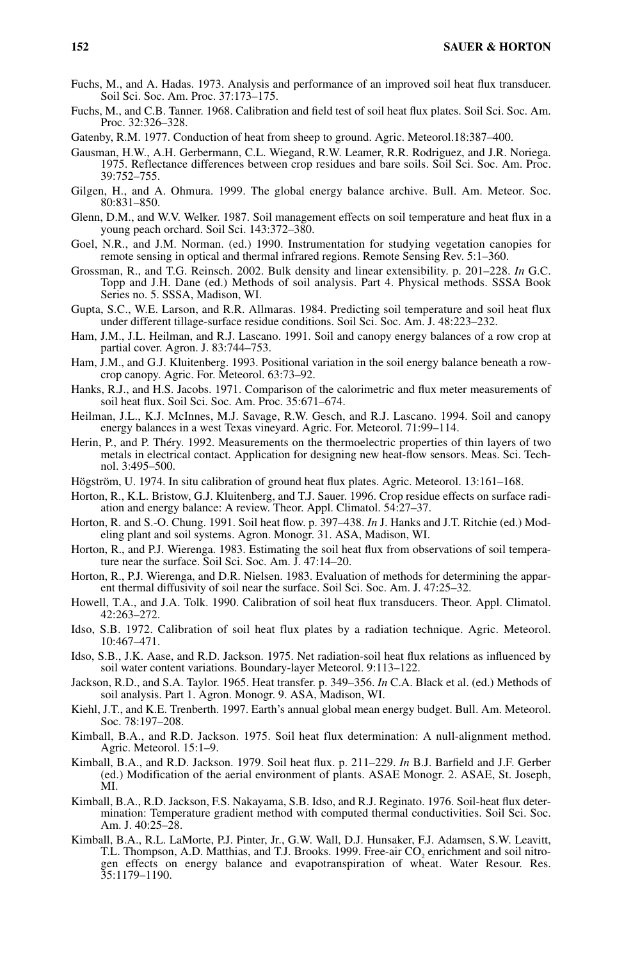- Fuchs, M., and A. Hadas. 1973. Analysis and performance of an improved soil heat flux transducer. Soil Sci. Soc. Am. Proc. 37:173–175.
- Fuchs, M., and C.B. Tanner. 1968. Calibration and field test of soil heat flux plates. Soil Sci. Soc. Am. Proc. 32:326–328.
- Gatenby, R.M. 1977. Conduction of heat from sheep to ground. Agric. Meteorol.18:387–400.
- Gausman, H.W., A.H. Gerbermann, C.L. Wiegand, R.W. Leamer, R.R. Rodriguez, and J.R. Noriega. 1975. Reflectance differences between crop residues and bare soils. Soil Sci. Soc. Am. Proc. 39:752–755.
- Gilgen, H., and A. Ohmura. 1999. The global energy balance archive. Bull. Am. Meteor. Soc. 80:831–850.
- Glenn, D.M., and W.V. Welker. 1987. Soil management effects on soil temperature and heat flux in a young peach orchard. Soil Sci. 143:372–380.
- Goel, N.R., and J.M. Norman. (ed.) 1990. Instrumentation for studying vegetation canopies for remote sensing in optical and thermal infrared regions. Remote Sensing Rev. 5:1–360.
- Grossman, R., and T.G. Reinsch. 2002. Bulk density and linear extensibility. p. 201–228. *In* G.C. Topp and J.H. Dane (ed.) Methods of soil analysis. Part 4. Physical methods. SSSA Book Series no. 5. SSSA, Madison, WI.
- Gupta, S.C., W.E. Larson, and R.R. Allmaras. 1984. Predicting soil temperature and soil heat flux under different tillage-surface residue conditions. Soil Sci. Soc. Am. J. 48:223–232.
- Ham, J.M., J.L. Heilman, and R.J. Lascano. 1991. Soil and canopy energy balances of a row crop at partial cover. Agron. J. 83:744–753.
- Ham, J.M., and G.J. Kluitenberg. 1993. Positional variation in the soil energy balance beneath a rowcrop canopy. Agric. For. Meteorol. 63:73–92.
- Hanks, R.J., and H.S. Jacobs. 1971. Comparison of the calorimetric and flux meter measurements of soil heat flux. Soil Sci. Soc. Am. Proc. 35:671–674.
- Heilman, J.L., K.J. McInnes, M.J. Savage, R.W. Gesch, and R.J. Lascano. 1994. Soil and canopy energy balances in a west Texas vineyard. Agric. For. Meteorol. 71:99–114.
- Herin, P., and P. Théry. 1992. Measurements on the thermoelectric properties of thin layers of two metals in electrical contact. Application for designing new heat-flow sensors. Meas. Sci. Technol. 3:495–500.
- Högström, U. 1974. In situ calibration of ground heat flux plates. Agric. Meteorol. 13:161–168.
- Horton, R., K.L. Bristow, G.J. Kluitenberg, and T.J. Sauer. 1996. Crop residue effects on surface radiation and energy balance: A review. Theor. Appl. Climatol. 54:27–37.
- Horton, R. and S.-O. Chung. 1991. Soil heat flow. p. 397–438. *In* J. Hanks and J.T. Ritchie (ed.) Modeling plant and soil systems. Agron. Monogr. 31. ASA, Madison, WI.
- Horton, R., and P.J. Wierenga. 1983. Estimating the soil heat flux from observations of soil temperature near the surface. Soil Sci. Soc. Am. J. 47:14–20.
- Horton, R., P.J. Wierenga, and D.R. Nielsen. 1983. Evaluation of methods for determining the apparent thermal diffusivity of soil near the surface. Soil Sci. Soc. Am. J. 47:25–32.
- Howell, T.A., and J.A. Tolk. 1990. Calibration of soil heat flux transducers. Theor. Appl. Climatol. 42:263–272.
- Idso, S.B. 1972. Calibration of soil heat flux plates by a radiation technique. Agric. Meteorol. 10:467–471.
- Idso, S.B., J.K. Aase, and R.D. Jackson. 1975. Net radiation-soil heat flux relations as influenced by soil water content variations. Boundary-layer Meteorol. 9:113–122.
- Jackson, R.D., and S.A. Taylor. 1965. Heat transfer. p. 349–356. *In* C.A. Black et al. (ed.) Methods of soil analysis. Part 1. Agron. Monogr. 9. ASA, Madison, WI.
- Kiehl, J.T., and K.E. Trenberth. 1997. Earth's annual global mean energy budget. Bull. Am. Meteorol. Soc. 78:197–208.
- Kimball, B.A., and R.D. Jackson. 1975. Soil heat flux determination: A null-alignment method. Agric. Meteorol. 15:1–9.
- Kimball, B.A., and R.D. Jackson. 1979. Soil heat flux. p. 211–229. *In* B.J. Barfield and J.F. Gerber (ed.) Modification of the aerial environment of plants. ASAE Monogr. 2. ASAE, St. Joseph, MI.
- Kimball, B.A., R.D. Jackson, F.S. Nakayama, S.B. Idso, and R.J. Reginato. 1976. Soil-heat flux determination: Temperature gradient method with computed thermal conductivities. Soil Sci. Soc. Am. J. 40:25–28.
- Kimball, B.A., R.L. LaMorte, P.J. Pinter, Jr., G.W. Wall, D.J. Hunsaker, F.J. Adamsen, S.W. Leavitt, T.L. Thompson, A.D. Matthias, and T.J. Brooks. 1999. Free-air CO<sub>2</sub> enrichment and soil nitrogen effects on energy balance and evapotranspiration of wheat. Water Resour. Res. 35:1179–1190.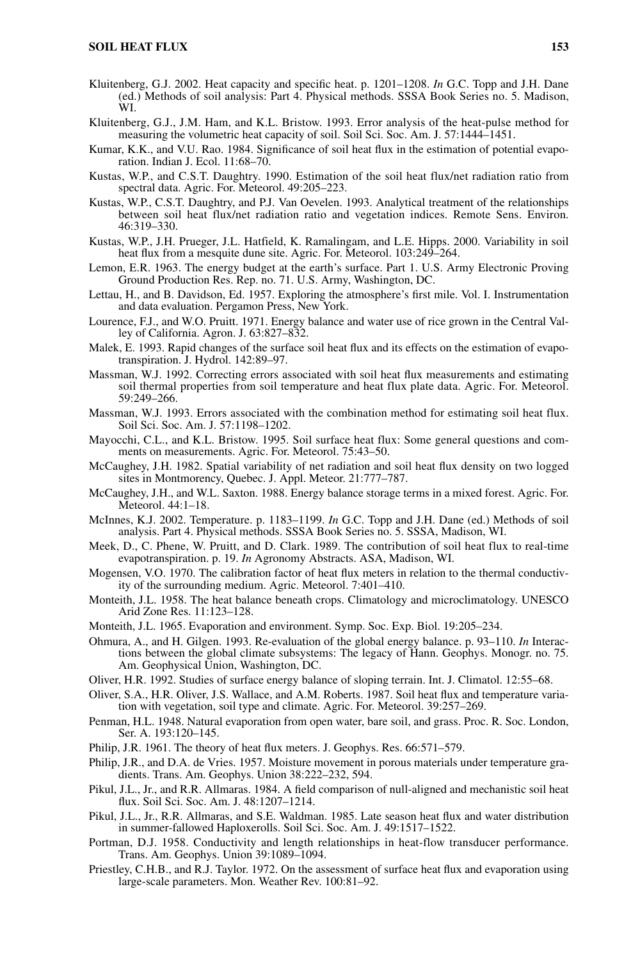- Kluitenberg, G.J. 2002. Heat capacity and specific heat. p. 1201–1208. *In* G.C. Topp and J.H. Dane (ed.) Methods of soil analysis: Part 4. Physical methods. SSSA Book Series no. 5. Madison, WI.
- Kluitenberg, G.J., J.M. Ham, and K.L. Bristow. 1993. Error analysis of the heat-pulse method for measuring the volumetric heat capacity of soil. Soil Sci. Soc. Am. J. 57:1444–1451.
- Kumar, K.K., and V.U. Rao. 1984. Significance of soil heat flux in the estimation of potential evaporation. Indian J. Ecol. 11:68–70.
- Kustas, W.P., and C.S.T. Daughtry. 1990. Estimation of the soil heat flux/net radiation ratio from spectral data. Agric. For. Meteorol. 49:205–223.
- Kustas, W.P., C.S.T. Daughtry, and P.J. Van Oevelen. 1993. Analytical treatment of the relationships between soil heat flux/net radiation ratio and vegetation indices. Remote Sens. Environ. 46:319–330.
- Kustas, W.P., J.H. Prueger, J.L. Hatfield, K. Ramalingam, and L.E. Hipps. 2000. Variability in soil heat flux from a mesquite dune site. Agric. For. Meteorol. 103:249–264.
- Lemon, E.R. 1963. The energy budget at the earth's surface. Part 1. U.S. Army Electronic Proving Ground Production Res. Rep. no. 71. U.S. Army, Washington, DC.
- Lettau, H., and B. Davidson, Ed. 1957. Exploring the atmosphere's first mile. Vol. I. Instrumentation and data evaluation. Pergamon Press, New York.
- Lourence, F.J., and W.O. Pruitt. 1971. Energy balance and water use of rice grown in the Central Valley of California. Agron. J. 63:827–832.
- Malek, E. 1993. Rapid changes of the surface soil heat flux and its effects on the estimation of evapotranspiration. J. Hydrol. 142:89–97.
- Massman, W.J. 1992. Correcting errors associated with soil heat flux measurements and estimating soil thermal properties from soil temperature and heat flux plate data. Agric. For. Meteorol. 59:249–266.
- Massman, W.J. 1993. Errors associated with the combination method for estimating soil heat flux. Soil Sci. Soc. Am. J. 57:1198–1202.
- Mayocchi, C.L., and K.L. Bristow. 1995. Soil surface heat flux: Some general questions and comments on measurements. Agric. For. Meteorol. 75:43–50.
- McCaughey, J.H. 1982. Spatial variability of net radiation and soil heat flux density on two logged sites in Montmorency, Quebec. J. Appl. Meteor. 21:777–787.
- McCaughey, J.H., and W.L. Saxton. 1988. Energy balance storage terms in a mixed forest. Agric. For. Meteorol. 44:1–18.
- McInnes, K.J. 2002. Temperature. p. 1183–1199. *In* G.C. Topp and J.H. Dane (ed.) Methods of soil analysis. Part 4. Physical methods. SSSA Book Series no. 5. SSSA, Madison, WI.
- Meek, D., C. Phene, W. Pruitt, and D. Clark. 1989. The contribution of soil heat flux to real-time evapotranspiration. p. 19. *In* Agronomy Abstracts. ASA, Madison, WI.
- Mogensen, V.O. 1970. The calibration factor of heat flux meters in relation to the thermal conductivity of the surrounding medium. Agric. Meteorol. 7:401–410.
- Monteith, J.L. 1958. The heat balance beneath crops. Climatology and microclimatology. UNESCO Arid Zone Res. 11:123–128.
- Monteith, J.L. 1965. Evaporation and environment. Symp. Soc. Exp. Biol. 19:205–234.
- Ohmura, A., and H. Gilgen. 1993. Re-evaluation of the global energy balance. p. 93–110. *In* Interactions between the global climate subsystems: The legacy of Hann. Geophys. Monogr. no. 75. Am. Geophysical Union, Washington, DC.
- Oliver, H.R. 1992. Studies of surface energy balance of sloping terrain. Int. J. Climatol. 12:55–68.
- Oliver, S.A., H.R. Oliver, J.S. Wallace, and A.M. Roberts. 1987. Soil heat flux and temperature variation with vegetation, soil type and climate. Agric. For. Meteorol. 39:257–269.
- Penman, H.L. 1948. Natural evaporation from open water, bare soil, and grass. Proc. R. Soc. London, Ser. A. 193:120–145.
- Philip, J.R. 1961. The theory of heat flux meters. J. Geophys. Res. 66:571–579.
- Philip, J.R., and D.A. de Vries. 1957. Moisture movement in porous materials under temperature gradients. Trans. Am. Geophys. Union 38:222–232, 594.
- Pikul, J.L., Jr., and R.R. Allmaras. 1984. A field comparison of null-aligned and mechanistic soil heat flux. Soil Sci. Soc. Am. J. 48:1207–1214.
- Pikul, J.L., Jr., R.R. Allmaras, and S.E. Waldman. 1985. Late season heat flux and water distribution in summer-fallowed Haploxerolls. Soil Sci. Soc. Am. J. 49:1517–1522.
- Portman, D.J. 1958. Conductivity and length relationships in heat-flow transducer performance. Trans. Am. Geophys. Union 39:1089–1094.
- Priestley, C.H.B., and R.J. Taylor. 1972. On the assessment of surface heat flux and evaporation using large-scale parameters. Mon. Weather Rev. 100:81–92.